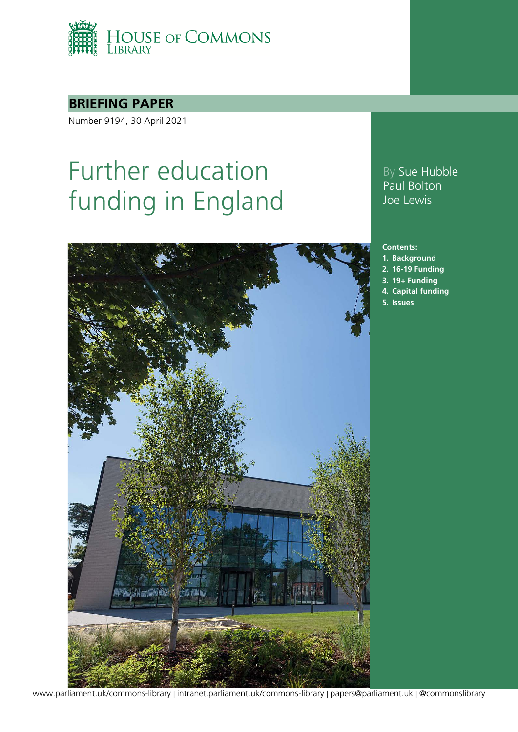

## **BRIEFING PAPER**

Number 9194, 30 April 2021

# Further education funding in England



### By Sue Hubble Paul Bolton Joe Lewis

#### **Contents:**

- **1. [Background](#page-4-0)**
- **2. [16-19 Funding](#page-6-0)**
- **3. [19+ Funding](#page-14-0)**
- **4. [Capital funding](#page-22-0)**
- **5. [Issues](#page-27-0)**

[www.parliament.uk/commons-library](http://www.parliament.uk/commons-library) | [intranet.parliament.uk/commons-library](http://intranet.parliament.uk/commons-library) | [papers@parliament.uk](mailto:papers@parliament.uk) | [@commonslibrary](http://www.twitter.com/@commonslibrary)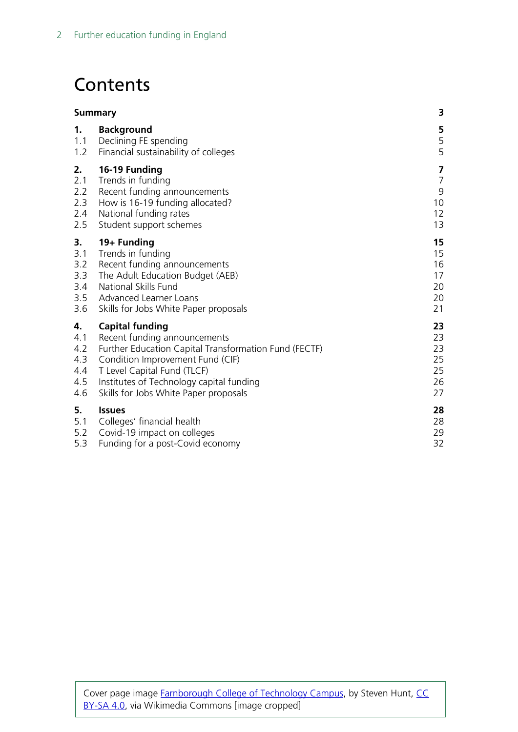# **Contents**

|     | <b>Summary</b>                                        |                         |
|-----|-------------------------------------------------------|-------------------------|
| 1.  | <b>Background</b>                                     | 5                       |
| 1.1 | Declining FE spending                                 | 5                       |
| 1.2 | Financial sustainability of colleges                  | 5                       |
| 2.  | 16-19 Funding                                         | $\overline{\mathbf{z}}$ |
| 2.1 | Trends in funding                                     | $\overline{7}$          |
| 2.2 | Recent funding announcements                          | 9                       |
| 2.3 | How is 16-19 funding allocated?                       | 10                      |
| 2.4 | National funding rates                                | $12 \overline{ }$       |
| 2.5 | Student support schemes                               | 13                      |
| 3.  | 19+ Funding                                           | 15                      |
| 3.1 | Trends in funding                                     | 15                      |
| 3.2 | Recent funding announcements                          | 16                      |
| 3.3 | The Adult Education Budget (AEB)                      | 17                      |
| 3.4 | National Skills Fund                                  | 20                      |
| 3.5 | Advanced Learner Loans                                | 20                      |
| 3.6 | Skills for Jobs White Paper proposals                 | 21                      |
| 4.  | <b>Capital funding</b>                                | 23                      |
| 4.1 | Recent funding announcements                          | 23                      |
| 4.2 | Further Education Capital Transformation Fund (FECTF) | 23                      |
| 4.3 | Condition Improvement Fund (CIF)                      | 25                      |
| 4.4 | T Level Capital Fund (TLCF)                           | 25                      |
| 4.5 | Institutes of Technology capital funding              | 26                      |
| 4.6 | Skills for Jobs White Paper proposals                 | 27                      |
| 5.  | <b>Issues</b>                                         | 28                      |
| 5.1 | Colleges' financial health                            | 28                      |
| 5.2 | Covid-19 impact on colleges                           | 29                      |
| 5.3 | Funding for a post-Covid economy                      | 32                      |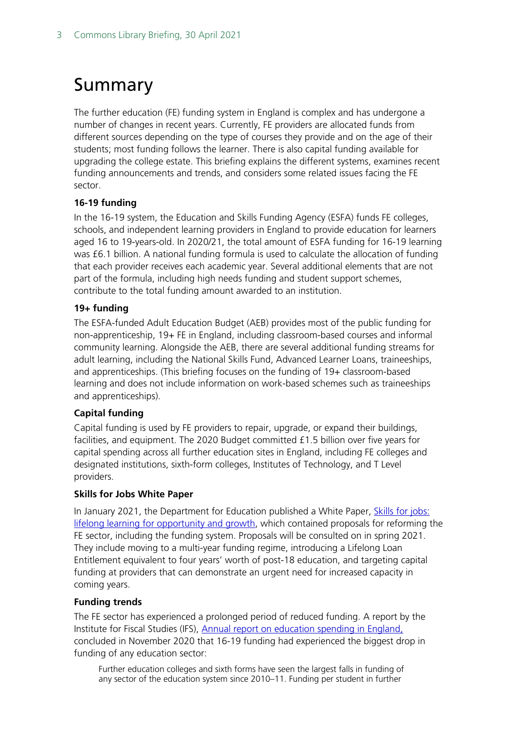# <span id="page-2-0"></span>Summary

The further education (FE) funding system in England is complex and has undergone a number of changes in recent years. Currently, FE providers are allocated funds from different sources depending on the type of courses they provide and on the age of their students; most funding follows the learner. There is also capital funding available for upgrading the college estate. This briefing explains the different systems, examines recent funding announcements and trends, and considers some related issues facing the FE sector.

#### **16-19 funding**

In the 16-19 system, the Education and Skills Funding Agency (ESFA) funds FE colleges, schools, and independent learning providers in England to provide education for learners aged 16 to 19-years-old. In 2020/21, the total amount of ESFA funding for 16-19 learning was £6.1 billion. A national funding formula is used to calculate the allocation of funding that each provider receives each academic year. Several additional elements that are not part of the formula, including high needs funding and student support schemes, contribute to the total funding amount awarded to an institution.

#### **19+ funding**

The ESFA-funded Adult Education Budget (AEB) provides most of the public funding for non-apprenticeship, 19+ FE in England, including classroom-based courses and informal community learning. Alongside the AEB, there are several additional funding streams for adult learning, including the National Skills Fund, Advanced Learner Loans, traineeships, and apprenticeships. (This briefing focuses on the funding of 19+ classroom-based learning and does not include information on work-based schemes such as traineeships and apprenticeships).

#### **Capital funding**

Capital funding is used by FE providers to repair, upgrade, or expand their buildings, facilities, and equipment. The 2020 Budget committed £1.5 billion over five years for capital spending across all further education sites in England, including FE colleges and designated institutions, sixth-form colleges, Institutes of Technology, and T Level providers.

#### **Skills for Jobs White Paper**

In January 2021, the Department for Education published a White Paper, [Skills for jobs:](https://www.gov.uk/government/publications/skills-for-jobs-lifelong-learning-for-opportunity-and-growth)  [lifelong learning for opportunity and growth,](https://www.gov.uk/government/publications/skills-for-jobs-lifelong-learning-for-opportunity-and-growth) which contained proposals for reforming the FE sector, including the funding system. Proposals will be consulted on in spring 2021. They include moving to a multi-year funding regime, introducing a Lifelong Loan Entitlement equivalent to four years' worth of post-18 education, and targeting capital funding at providers that can demonstrate an urgent need for increased capacity in coming years.

#### **Funding trends**

The FE sector has experienced a prolonged period of reduced funding. A report by the Institute for Fiscal Studies (IFS), [Annual report on education spending in England,](https://www.ifs.org.uk/publications/15150) concluded in November 2020 that 16-19 funding had experienced the biggest drop in funding of any education sector:

Further education colleges and sixth forms have seen the largest falls in funding of any sector of the education system since 2010–11. Funding per student in further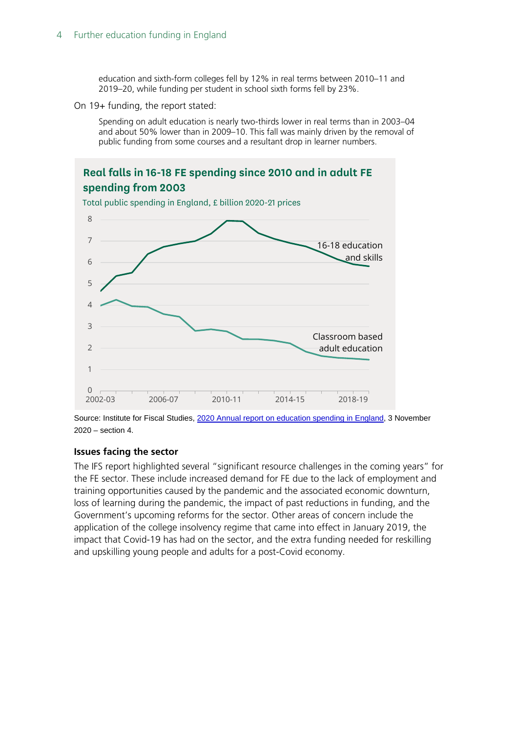education and sixth-form colleges fell by 12% in real terms between 2010–11 and 2019–20, while funding per student in school sixth forms fell by 23%.

On 19+ funding, the report stated:

Spending on adult education is nearly two-thirds lower in real terms than in 2003–04 and about 50% lower than in 2009–10. This fall was mainly driven by the removal of public funding from some courses and a resultant drop in learner numbers.



Source: Institute for Fiscal Studies, [2020 Annual report on education spending in England,](https://www.ifs.org.uk/publications/15150) 3 November 2020 – section 4.

#### **Issues facing the sector**

The IFS report highlighted several "significant resource challenges in the coming years" for the FE sector. These include increased demand for FE due to the lack of employment and training opportunities caused by the pandemic and the associated economic downturn, loss of learning during the pandemic, the impact of past reductions in funding, and the Government's upcoming reforms for the sector. Other areas of concern include the application of the college insolvency regime that came into effect in January 2019, the impact that Covid-19 has had on the sector, and the extra funding needed for reskilling and upskilling young people and adults for a post-Covid economy.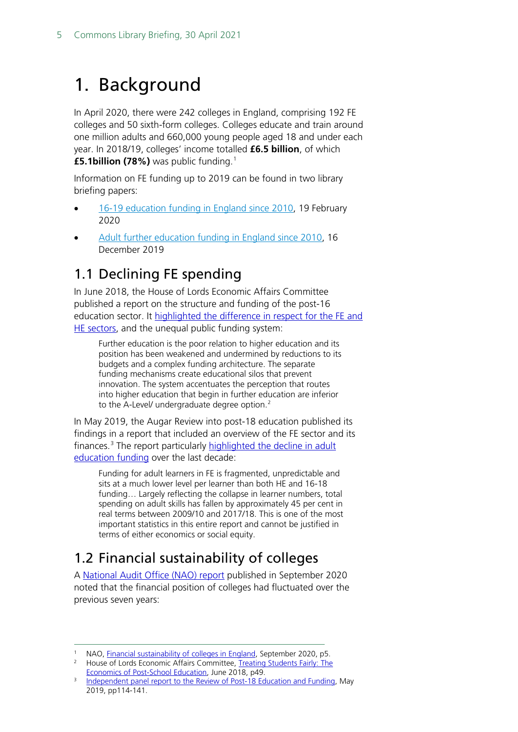# <span id="page-4-0"></span>1. Background

In April 2020, there were 242 colleges in England, comprising 192 FE colleges and 50 sixth-form colleges. Colleges educate and train around one million adults and 660,000 young people aged 18 and under each year. In 2018/19, colleges' income totalled **£6.5 billion**, of which **£5.1billion (78%)** was public funding. [1](#page-4-3)

Information on FE funding up to 2019 can be found in two library briefing papers:

- [16-19 education funding in England since 2010,](https://researchbriefings.files.parliament.uk/documents/SN07019/SN07019.pdf) 19 February 2020
- [Adult further education funding in England since 2010,](https://commonslibrary.parliament.uk/research-briefings/cbp-7708/) 16 December 2019

# <span id="page-4-1"></span>1.1 Declining FE spending

In June 2018, the House of Lords Economic Affairs Committee published a report on the structure and funding of the post-16 education sector. It highlighted the [difference in respect for](https://publications.parliament.uk/pa/ld201719/ldselect/ldeconaf/139/139.pdf) the FE and [HE sectors,](https://publications.parliament.uk/pa/ld201719/ldselect/ldeconaf/139/139.pdf) and the unequal public funding system:

Further education is the poor relation to higher education and its position has been weakened and undermined by reductions to its budgets and a complex funding architecture. The separate funding mechanisms create educational silos that prevent innovation. The system accentuates the perception that routes into higher education that begin in further education are inferior to the A-Level/ undergraduate degree option.<sup>[2](#page-4-4)</sup>

In May 2019, the Augar Review into post-18 education published its findings in a report that included an overview of the FE sector and its finances.<sup>[3](#page-4-5)</sup> The report particularly highlighted the decline in adult [education funding](https://www.gov.uk/government/publications/post-18-review-of-education-and-funding-independent-panel-report) over the last decade:

Funding for adult learners in FE is fragmented, unpredictable and sits at a much lower level per learner than both HE and 16-18 funding… Largely reflecting the collapse in learner numbers, total spending on adult skills has fallen by approximately 45 per cent in real terms between 2009/10 and 2017/18. This is one of the most important statistics in this entire report and cannot be justified in terms of either economics or social equity.

# <span id="page-4-2"></span>1.2 Financial sustainability of colleges

A [National Audit Office \(NAO\) report](https://www.nao.org.uk/wp-content/uploads/2020/09/Financial-sustainability-of-colleges-in-England.pdf) published in September 2020 noted that the financial position of colleges had fluctuated over the previous seven years:

<span id="page-4-3"></span>NAO, [Financial sustainability of colleges in England,](https://www.nao.org.uk/wp-content/uploads/2020/09/Financial-sustainability-of-colleges-in-England.pdf) September 2020, p5.

<span id="page-4-4"></span><sup>&</sup>lt;sup>2</sup> House of Lords Economic Affairs Committee, Treating Students Fairly: The [Economics of Post-School Education,](https://publications.parliament.uk/pa/ld201719/ldselect/ldeconaf/139/139.pdf) June 2018, p49.

<span id="page-4-5"></span><sup>&</sup>lt;sup>3</sup> [Independent panel report to the Review of Post-18 Education and Funding,](https://www.gov.uk/government/publications/post-18-review-of-education-and-funding-independent-panel-report) May 2019, pp114-141.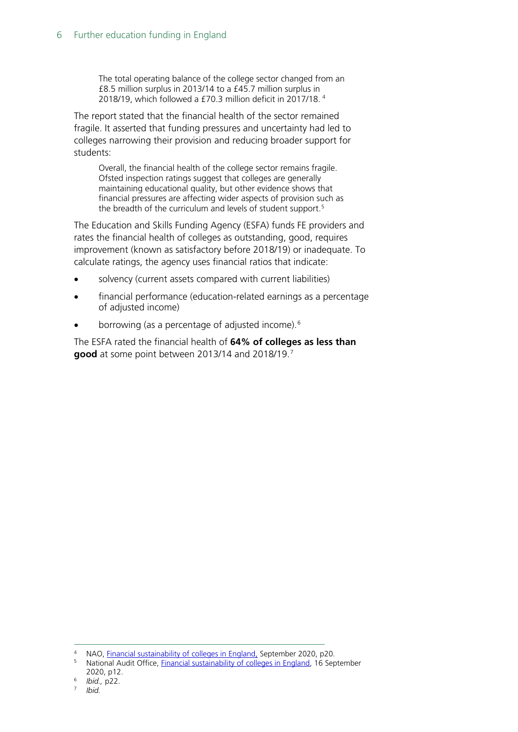The total operating balance of the college sector changed from an £8.5 million surplus in 2013/14 to a £45.7 million surplus in 2018/19, which followed a £70.3 million deficit in 2017/18. [4](#page-5-0)

The report stated that the financial health of the sector remained fragile. It asserted that funding pressures and uncertainty had led to colleges narrowing their provision and reducing broader support for students:

Overall, the financial health of the college sector remains fragile. Ofsted inspection ratings suggest that colleges are generally maintaining educational quality, but other evidence shows that financial pressures are affecting wider aspects of provision such as the breadth of the curriculum and levels of student support.<sup>[5](#page-5-1)</sup>

The Education and Skills Funding Agency (ESFA) funds FE providers and rates the financial health of colleges as outstanding, good, requires improvement (known as satisfactory before 2018/19) or inadequate. To calculate ratings, the agency uses financial ratios that indicate:

- solvency (current assets compared with current liabilities)
- financial performance (education-related earnings as a percentage of adjusted income)
- borrowing (as a percentage of adjusted income).<sup>[6](#page-5-2)</sup>

The ESFA rated the financial health of **64% of colleges as less than good** at some point between 2013/14 and 2018/19. [7](#page-5-3)

<span id="page-5-0"></span><sup>4</sup> NAO, [Financial sustainability of colleges in England,](https://www.nao.org.uk/wp-content/uploads/2020/09/Financial-sustainability-of-colleges-in-England.pdf) September 2020, p20.

<span id="page-5-1"></span><sup>&</sup>lt;sup>5</sup> National Audit Office, *Financial sustainability of colleges in England*, 16 September

<span id="page-5-2"></span><sup>2020,</sup> p12. 6 *Ibid.,* p22.

*Ibid.* 

<span id="page-5-3"></span>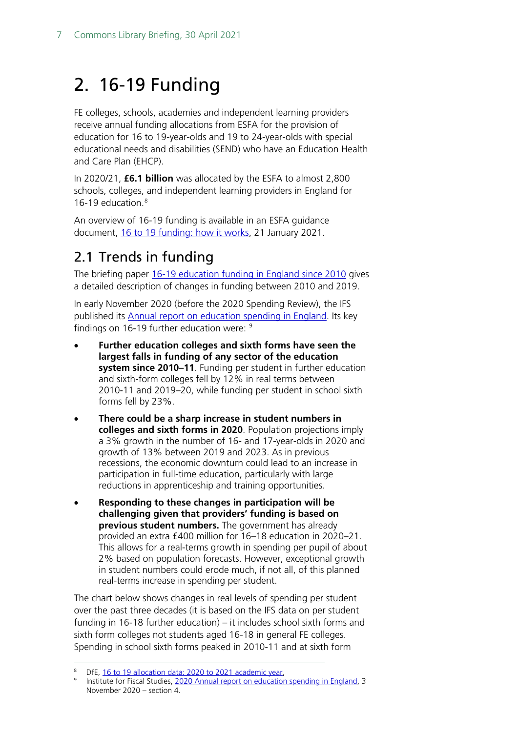# <span id="page-6-0"></span>2. 16-19 Funding

FE colleges, schools, academies and independent learning providers receive annual funding allocations from ESFA for the provision of education for 16 to 19-year-olds and 19 to 24-year-olds with special educational needs and disabilities (SEND) who have an Education Health and Care Plan (EHCP).

In 2020/21, **£6.1 billion** was allocated by the ESFA to almost 2,800 schools, colleges, and independent learning providers in England for 16-19 education. [8](#page-6-2)

An overview of 16-19 funding is available in an ESFA guidance document, [16 to 19 funding: how it works,](https://www.gov.uk/guidance/16-to-19-funding-how-it-works) 21 January 2021.

# <span id="page-6-1"></span>2.1 Trends in funding

The briefing paper 16-19 [education funding in England since 2010](https://researchbriefings.files.parliament.uk/documents/SN07019/SN07019.pdf) gives a detailed description of changes in funding between 2010 and 2019.

In early November 2020 (before the 2020 Spending Review), the IFS published its **Annual report on education spending in England**. Its key findings on 16-1[9](#page-6-3) further education were: <sup>9</sup>

- **Further education colleges and sixth forms have seen the largest falls in funding of any sector of the education system since 2010–11**. Funding per student in further education and sixth-form colleges fell by 12% in real terms between 2010-11 and 2019–20, while funding per student in school sixth forms fell by 23%.
- **There could be a sharp increase in student numbers in colleges and sixth forms in 2020**. Population projections imply a 3% growth in the number of 16- and 17-year-olds in 2020 and growth of 13% between 2019 and 2023. As in previous recessions, the economic downturn could lead to an increase in participation in full-time education, particularly with large reductions in apprenticeship and training opportunities.
- **Responding to these changes in participation will be challenging given that providers' funding is based on previous student numbers.** The government has already provided an extra £400 million for 16–18 education in 2020–21. This allows for a real-terms growth in spending per pupil of about 2% based on population forecasts. However, exceptional growth in student numbers could erode much, if not all, of this planned real-terms increase in spending per student.

The chart below shows changes in real levels of spending per student over the past three decades (it is based on the IFS data on per student funding in 16-18 further education) – it includes school sixth forms and sixth form colleges not students aged 16-18 in general FE colleges. Spending in school sixth forms peaked in 2010-11 and at sixth form

<span id="page-6-3"></span><span id="page-6-2"></span><sup>8</sup> DfE, [16 to 19 allocation data: 2020 to 2021 academic year,](https://www.gov.uk/government/publications/16-to-19-allocation-data-2020-to-2021-academic-year) 8 Institute for Fiscal Studies, [2020 Annual report on education spending in England,](https://www.ifs.org.uk/publications/15150) 3 November 2020 – section 4.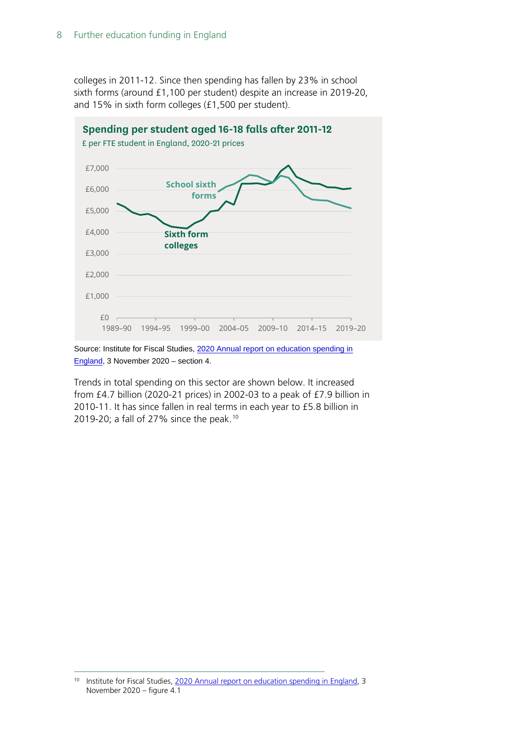colleges in 2011-12. Since then spending has fallen by 23% in school sixth forms (around £1,100 per student) despite an increase in 2019-20, and 15% in sixth form colleges (£1,500 per student).



Source: Institute for Fiscal Studies, 2020 Annual report on education spending in [England,](https://www.ifs.org.uk/publications/15150) 3 November 2020 – section 4.

Trends in total spending on this sector are shown below. It increased from £4.7 billion (2020-21 prices) in 2002-03 to a peak of £7.9 billion in 2010-11. It has since fallen in real terms in each year to £5.8 billion in 2019-20; a fall of 27% since the peak. [10](#page-7-0)

<span id="page-7-0"></span><sup>&</sup>lt;sup>10</sup> Institute for Fiscal Studies, [2020 Annual report on education spending in England,](https://www.ifs.org.uk/publications/15150) 3 November 2020 – figure 4.1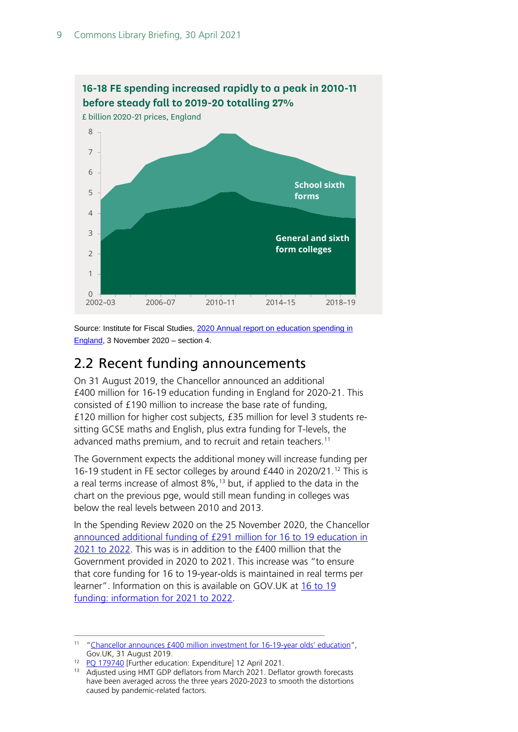

Source: Institute for Fiscal Studies, 2020 Annual report on education spending in [England,](https://www.ifs.org.uk/publications/15150) 3 November 2020 – section 4.

## <span id="page-8-0"></span>2.2 Recent funding announcements

On 31 August 2019, the Chancellor announced an additional £400 million for 16-19 education funding in England for 2020-21. This consisted of £190 million to increase the base rate of funding, £120 million for higher cost subjects, £35 million for level 3 students resitting GCSE maths and English, plus extra funding for T-levels, the advanced maths premium, and to recruit and retain teachers.<sup>[11](#page-8-1)</sup>

The Government expects the additional money will increase funding per 16-19 student in FE sector colleges by around £440 in 2020/21. [12](#page-8-2) This is a real terms increase of almost 8%, [13](#page-8-3) but, if applied to the data in the chart on the previous pge, would still mean funding in colleges was below the real levels between 2010 and 2013.

In the Spending Review 2020 on the 25 November 2020, the Chancellor [announced additional funding of £291](https://www.gov.uk/government/publications/spending-review-2020-documents) million for 16 to 19 education in [2021 to 2022.](https://www.gov.uk/government/publications/spending-review-2020-documents) This was is in addition to the £400 million that the Government provided in 2020 to 2021. This increase was "to ensure that core funding for 16 to 19-year-olds is maintained in real terms per learner". Information on this is available on GOV.UK at [16 to 19](https://www.gov.uk/guidance/16-to-19-funding-information-for-2021-to-2022)  [funding: information for 2021 to 2022.](https://www.gov.uk/guidance/16-to-19-funding-information-for-2021-to-2022)

<span id="page-8-2"></span><sup>12</sup> [PQ 179740](https://questions-statements.parliament.uk/written-questions/detail/2021-04-12/179740) [Further education: Expenditure] 12 April 2021.

<span id="page-8-1"></span><sup>11</sup> ["Chancellor announces £400 million investment for 16-19-year olds' education",](https://www.gov.uk/government/news/chancellor-announces-400-million-investment-for-16-19-year-olds-education) Gov.UK, 31 August 2019.

<span id="page-8-3"></span><sup>&</sup>lt;sup>13</sup> Adjusted using HMT GDP deflators from March 2021. Deflator growth forecasts have been averaged across the three years 2020-2023 to smooth the distortions caused by pandemic-related factors.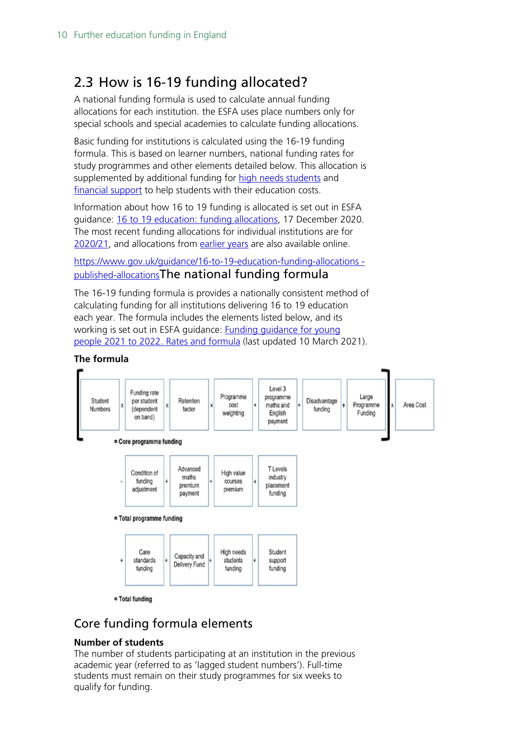# <span id="page-9-0"></span>2.3 How is 16-19 funding allocated?

A national funding formula is used to calculate annual funding allocations for each institution. the ESFA uses place numbers only for special schools and special academies to calculate funding allocations.

Basic funding for institutions is calculated using the 16-19 funding formula. This is based on learner numbers, national funding rates for study programmes and other elements detailed below. This allocation is supplemented by additional funding for [high needs students](https://www.gov.uk/government/collections/high-needs-funding) and [financial support](https://www.gov.uk/guidance/16-to-19-education-financial-support-for-students) to help students with their education costs.

Information about how 16 to 19 funding is allocated is set out in ESFA guidance: [16 to 19 education: funding allocations,](https://www.gov.uk/guidance/16-to-19-education-funding-allocations) 17 December 2020. The most recent funding allocations for individual institutions are for [2020/21,](https://www.gov.uk/government/publications/16-to-19-allocation-data-2020-to-2021-academic-year) and allocations from [earlier years](https://www.gov.uk/guidance/16-to-19-education-funding-allocations#published-allocations) are also available online.

[https://www.gov.uk/guidance/16-to-19-education-funding-allocations](https://www.gov.uk/guidance/16-to-19-education-funding-allocations#published-allocations)  [published-allocations](https://www.gov.uk/guidance/16-to-19-education-funding-allocations#published-allocations)The national funding formula

The 16-19 funding formula is provides a nationally consistent method of calculating funding for all institutions delivering 16 to 19 education each year. The formula includes the elements listed below, and its working is set out in ESFA guidance: [Funding guidance for young](https://www.gov.uk/government/publications/funding-rates-and-formula/funding-guidance-for-young-people-2021-to-2022-rates-and-formula)  people 2021 [to 2022. Rates and formula](https://www.gov.uk/government/publications/funding-rates-and-formula/funding-guidance-for-young-people-2021-to-2022-rates-and-formula) (last updated 10 March 2021).



## Core funding formula elements

#### **Number of students**

The number of students participating at an institution in the previous academic year (referred to as 'lagged student numbers'). Full-time students must remain on their study programmes for six weeks to qualify for funding.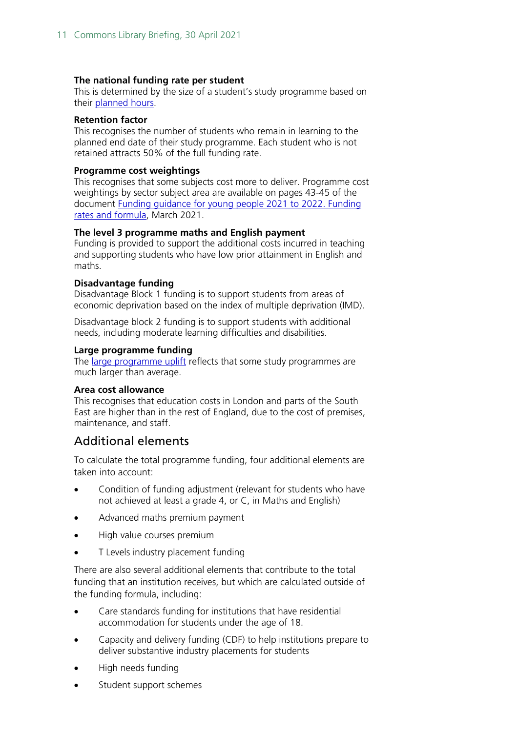#### **The national funding rate per student**

This is determined by the size of a student's study programme based on their [planned hours.](https://www.gov.uk/16-to-19-funding-planned-hours-in-study-programmes)

#### **Retention factor**

This recognises the number of students who remain in learning to the planned end date of their study programme. Each student who is not retained attracts 50% of the full funding rate.

#### **Programme cost weightings**

This recognises that some subjects cost more to deliver. Programme cost weightings by sector subject area are available on pages 43-45 of the document [Funding guidance for young people 2021](https://assets.publishing.service.gov.uk/government/uploads/system/uploads/attachment_data/file/936204/Funding_rates_and_formula_202021_v1.3.pdf) to 2022. Funding [rates and formula,](https://assets.publishing.service.gov.uk/government/uploads/system/uploads/attachment_data/file/936204/Funding_rates_and_formula_202021_v1.3.pdf) March 2021.

#### **The level 3 programme maths and English payment**

Funding is provided to support the additional costs incurred in teaching and supporting students who have low prior attainment in English and maths.

#### **Disadvantage funding**

Disadvantage Block 1 funding is to support students from areas of economic deprivation based on the index of multiple deprivation (IMD).

Disadvantage block 2 funding is to support students with additional needs, including moderate learning difficulties and disabilities.

#### **Large programme funding**

The [large programme uplift](https://www.gov.uk/guidance/16-to-19-funding-large-programme-uplift) reflects that some study programmes are much larger than average.

#### **Area cost allowance**

This recognises that education costs in London and parts of the South East are higher than in the rest of England, due to the cost of premises, maintenance, and staff.

#### Additional elements

To calculate the total programme funding, four additional elements are taken into account:

- Condition of funding adjustment (relevant for students who have not achieved at least a grade 4, or C, in Maths and English)
- Advanced maths premium payment
- High value courses premium
- T Levels industry placement funding

There are also several additional elements that contribute to the total funding that an institution receives, but which are calculated outside of the funding formula, including:

- Care standards funding for institutions that have residential accommodation for students under the age of 18.
- Capacity and delivery funding (CDF) to help institutions prepare to deliver substantive industry placements for students
- High needs funding
- Student support schemes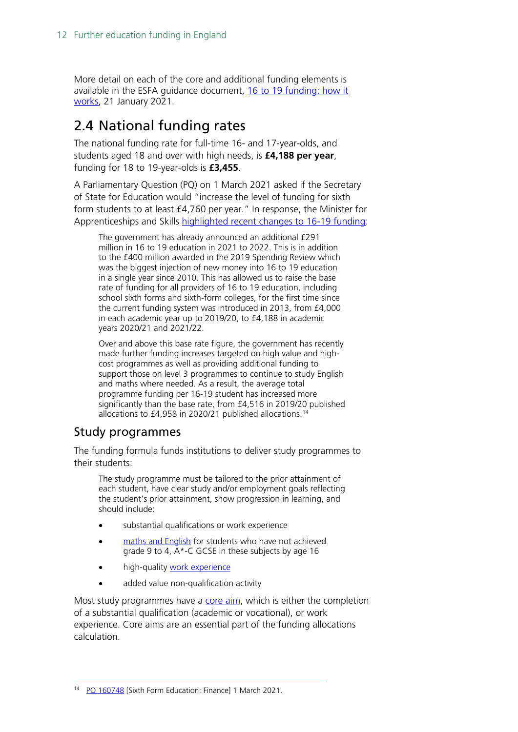More detail on each of the core and additional funding elements is available in the ESFA guidance document, [16 to 19 funding: how it](https://www.gov.uk/guidance/16-to-19-funding-how-it-works)  [works,](https://www.gov.uk/guidance/16-to-19-funding-how-it-works) 21 January 2021.

# <span id="page-11-0"></span>2.4 National funding rates

The national funding rate for full-time 16- and 17-year-olds, and students aged 18 and over with high needs, is **£4,188 per year**, funding for 18 to 19-year-olds is **£3,455**.

A Parliamentary Question (PQ) on 1 March 2021 asked if the Secretary of State for Education would "increase the level of funding for sixth form students to at least £4,760 per year." In response, the Minister for Apprenticeships and Skills [highlighted recent changes to 16-19 funding:](https://questions-statements.parliament.uk/written-questions/detail/2021-03-01/160748)

The government has already announced an additional £291 million in 16 to 19 education in 2021 to 2022. This is in addition to the £400 million awarded in the 2019 Spending Review which was the biggest injection of new money into 16 to 19 education in a single year since 2010. This has allowed us to raise the base rate of funding for all providers of 16 to 19 education, including school sixth forms and sixth-form colleges, for the first time since the current funding system was introduced in 2013, from £4,000 in each academic year up to 2019/20, to £4,188 in academic years 2020/21 and 2021/22.

Over and above this base rate figure, the government has recently made further funding increases targeted on high value and highcost programmes as well as providing additional funding to support those on level 3 programmes to continue to study English and maths where needed. As a result, the average total programme funding per 16-19 student has increased more significantly than the base rate, from £4,516 in 2019/20 published allocations to £4,958 in 2020/21 published allocations. [14](#page-11-1)

### Study programmes

The funding formula funds institutions to deliver study programmes to their students:

The study programme must be tailored to the prior attainment of each student, have clear study and/or employment goals reflecting the student's prior attainment, show progression in learning, and should include:

- substantial qualifications or work experience
- [maths and English](https://www.gov.uk/16-to-19-funding-maths-and-english-condition-of-funding) for students who have not achieved grade 9 to 4, A\*-C GCSE in these subjects by age 16
- high-quality [work experience](https://www.gov.uk/guidance/16-to-19-funding-study-programmes-work-experience)
- added value non-qualification activity

<span id="page-11-1"></span>Most study programmes have a [core aim,](https://www.gov.uk/government/publications/funding-rates-and-formula) which is either the completion of a substantial qualification (academic or vocational), or work experience. Core aims are an essential part of the funding allocations calculation.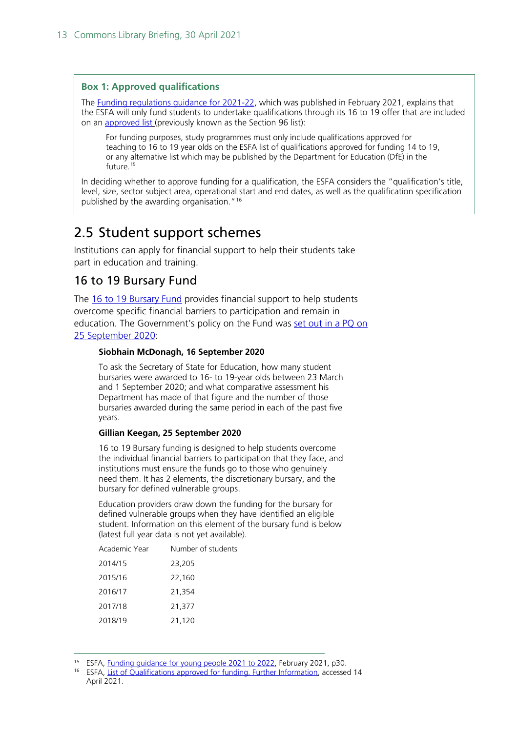#### **Box 1: Approved qualifications**

The [Funding regulations guidance for 2021-22,](https://www.gov.uk/government/publications/advice-funding-regulations-for-post-16-provision) which was published in February 2021, explains that the ESFA will only fund students to undertake qualifications through its 16 to 19 offer that are included on an **approved list** (previously known as the Section 96 list):

For funding purposes, study programmes must only include qualifications approved for teaching to 16 to 19 year olds on the ESFA list of qualifications approved for funding 14 to 19, or any alternative list which may be published by the Department for Education (DfE) in the future.<sup>[15](#page-12-1)</sup>

In deciding whether to approve funding for a qualification, the ESFA considers the "qualification's title, level, size, sector subject area, operational start and end dates, as well as the qualification specification published by the awarding organisation."[16](#page-12-2)

### <span id="page-12-0"></span>2.5 Student support schemes

Institutions can apply for financial support to help their students take part in education and training.

### 16 to 19 Bursary Fund

The [16 to 19 Bursary Fund](https://www.gov.uk/guidance/16-to-19-bursary-fund-guide-2021-to-2022-academic-year) provides financial support to help students overcome specific financial barriers to participation and remain in education. The Government's policy on the Fund was set out [in a PQ on](https://questions-statements.parliament.uk/written-questions/detail/2020-09-16/90936)  [25 September 2020:](https://questions-statements.parliament.uk/written-questions/detail/2020-09-16/90936)

#### **Siobhain McDonagh, 16 September 2020**

To ask the Secretary of State for Education, how many student bursaries were awarded to 16- to 19-year olds between 23 March and 1 September 2020; and what comparative assessment his Department has made of that figure and the number of those bursaries awarded during the same period in each of the past five years.

#### **Gillian Keegan, 25 September 2020**

16 to 19 Bursary funding is designed to help students overcome the individual financial barriers to participation that they face, and institutions must ensure the funds go to those who genuinely need them. It has 2 elements, the discretionary bursary, and the bursary for defined vulnerable groups.

Education providers draw down the funding for the bursary for defined vulnerable groups when they have identified an eligible student. Information on this element of the bursary fund is below (latest full year data is not yet available).

| Academic Year | Number of students |
|---------------|--------------------|
| 2014/15       | 23,205             |
| 2015/16       | 22,160             |
| 2016/17       | 21,354             |
| 2017/18       | 21,377             |
| 2018/19       | 21,120             |
|               |                    |

<span id="page-12-2"></span><span id="page-12-1"></span><sup>&</sup>lt;sup>15</sup> ESFA, [Funding guidance for young people 2021 to 2022,](https://assets.publishing.service.gov.uk/government/uploads/system/uploads/attachment_data/file/964105/16_to_19_funding_guidance_Regulations_2021_to_2022-v1a.pdf) February 2021, p30.

ESFA, [List of Qualifications approved for funding. Further Information,](https://section96.education.gov.uk/Home/FurtherInformation#defineApproval) accessed 14 April 2021.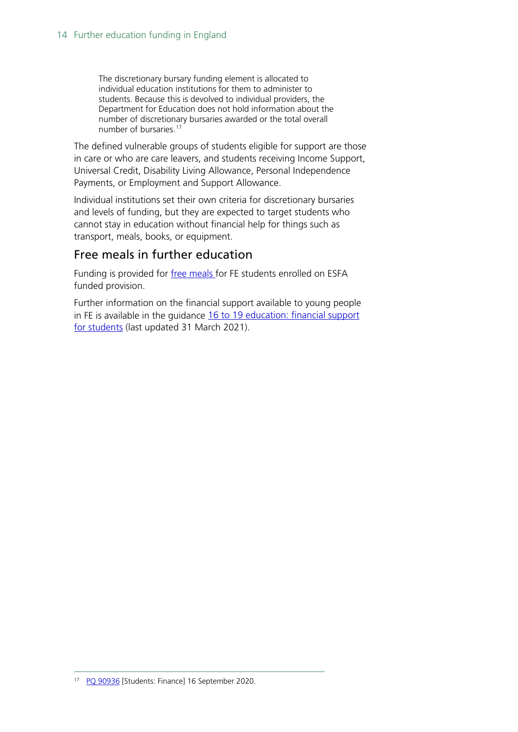The discretionary bursary funding element is allocated to individual education institutions for them to administer to students. Because this is devolved to individual providers, the Department for Education does not hold information about the number of discretionary bursaries awarded or the total overall number of bursaries.<sup>[17](#page-13-0)</sup>

The defined vulnerable groups of students eligible for support are those in care or who are care leavers, and students receiving Income Support, Universal Credit, Disability Living Allowance, Personal Independence Payments, or Employment and Support Allowance.

Individual institutions set their own criteria for discretionary bursaries and levels of funding, but they are expected to target students who cannot stay in education without financial help for things such as transport, meals, books, or equipment.

### Free meals in further education

Funding is provided for [free meals f](https://www.gov.uk/guidance/free-meals-in-further-education-funded-institutions-guide-for-the-2021-to-2022-academic-year)or FE students enrolled on ESFA funded provision.

Further information on the financial support available to young people in FE is available in the guidance [16 to 19 education: financial support](https://www.gov.uk/guidance/16-to-19-education-financial-support-for-students)  [for students](https://www.gov.uk/guidance/16-to-19-education-financial-support-for-students) (last updated 31 March 2021).

<span id="page-13-0"></span><sup>17</sup> PQ [90936](https://questions-statements.parliament.uk/written-questions/detail/2020-09-16/90936) [Students: Finance] 16 September 2020.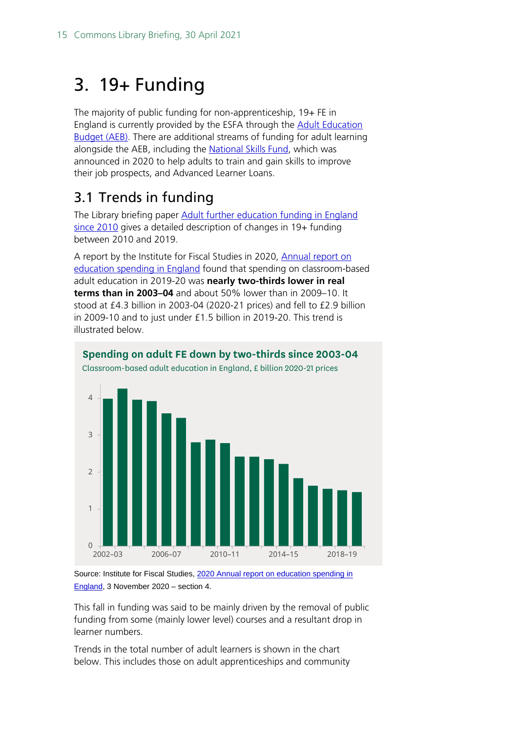# <span id="page-14-0"></span>3. 19+ Funding

The majority of public funding for non-apprenticeship, 19+ FE in England is currently provided by the ESFA through the [Adult Education](https://www.gov.uk/guidance/adult-education-budget-aeb-funding-rules-2020-to-2021) [Budget \(AEB\).](https://www.gov.uk/guidance/adult-education-budget-aeb-funding-rules-2020-to-2021) There are additional streams of funding for adult learning alongside the AEB, including the [National Skills Fund,](https://www.gov.uk/guidance/national-skills-fund) which was announced in 2020 to help adults to train and gain skills to improve their job prospects, and Advanced Learner Loans.

# <span id="page-14-1"></span>3.1 Trends in funding

The Library briefing paper [Adult further education funding in England](https://researchbriefings.files.parliament.uk/documents/CBP-7708/CBP-7708.pdf)  [since 2010](https://researchbriefings.files.parliament.uk/documents/CBP-7708/CBP-7708.pdf) gives a detailed description of changes in 19+ funding between 2010 and 2019.

A report by the Institute for Fiscal Studies in 2020, [Annual report on](https://www.ifs.org.uk/publications/15150)  [education spending](https://www.ifs.org.uk/publications/15150) in England found that spending on classroom-based adult education in 2019-20 was **nearly two-thirds lower in real terms than in 2003–04** and about 50% lower than in 2009–10. It stood at £4.3 billion in 2003-04 (2020-21 prices) and fell to £2.9 billion in 2009-10 and to just under £1.5 billion in 2019-20. This trend is illustrated below.

**Spending on adult FE down by two-thirds since 2003-04**



Source: Institute for Fiscal Studies, 2020 Annual report on education spending in [England,](https://www.ifs.org.uk/publications/15150) 3 November 2020 – section 4.

This fall in funding was said to be mainly driven by the removal of public funding from some (mainly lower level) courses and a resultant drop in learner numbers.

Trends in the total number of adult learners is shown in the chart below. This includes those on adult apprenticeships and community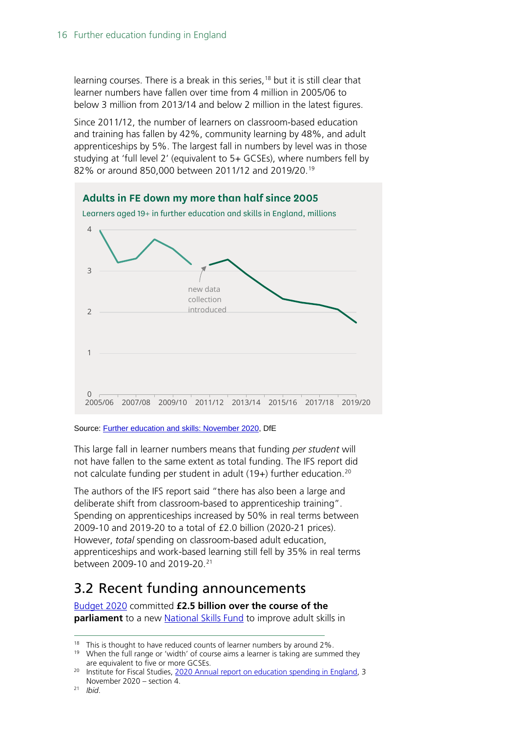learning courses. There is a break in this series,<sup>[18](#page-15-1)</sup> but it is still clear that learner numbers have fallen over time from 4 million in 2005/06 to below 3 million from 2013/14 and below 2 million in the latest figures.

Since 2011/12, the number of learners on classroom-based education and training has fallen by 42%, community learning by 48%, and adult apprenticeships by 5%. The largest fall in numbers by level was in those studying at 'full level 2' (equivalent to 5+ GCSEs), where numbers fell by 82% or around 850,000 between 2011/12 and 20[19](#page-15-2)/20.<sup>19</sup>



Source[: Further education and skills: November 2020,](https://www.gov.uk/government/statistics/further-education-and-skills-november-2020) DfE

This large fall in learner numbers means that funding *per student* will not have fallen to the same extent as total funding. The IFS report did not calculate funding per student in adult (19+) further education.<sup>[20](#page-15-3)</sup>

The authors of the IFS report said "there has also been a large and deliberate shift from classroom-based to apprenticeship training". Spending on apprenticeships increased by 50% in real terms between 2009-10 and 2019-20 to a total of £2.0 billion (2020-21 prices). However, *total* spending on classroom-based adult education, apprenticeships and work-based learning still fell by 35% in real terms between 2009-10 and 2019-20. [21](#page-15-4)

# <span id="page-15-0"></span>3.2 Recent funding announcements

[Budget 2020](https://assets.publishing.service.gov.uk/government/uploads/system/uploads/attachment_data/file/871799/Budget_2020_Web_Accessible_Complete.pdf) committed **£2.5 billion over the course of the parliament** to a new [National Skills Fund](https://www.gov.uk/guidance/national-skills-fund) to improve adult skills in

<span id="page-15-2"></span><span id="page-15-1"></span><sup>&</sup>lt;sup>18</sup> This is thought to have reduced counts of learner numbers by around 2%.<br><sup>19</sup> When the full range or 'width' of course aims a learner is taking are summ

When the full range or 'width' of course aims a learner is taking are summed they are equivalent to five or more GCSEs.

<span id="page-15-4"></span><span id="page-15-3"></span><sup>&</sup>lt;sup>20</sup> Institute for Fiscal Studies, [2020 Annual report on education spending in England,](https://www.ifs.org.uk/publications/15150) 3 November 2020 – section 4. 21 *Ibid*.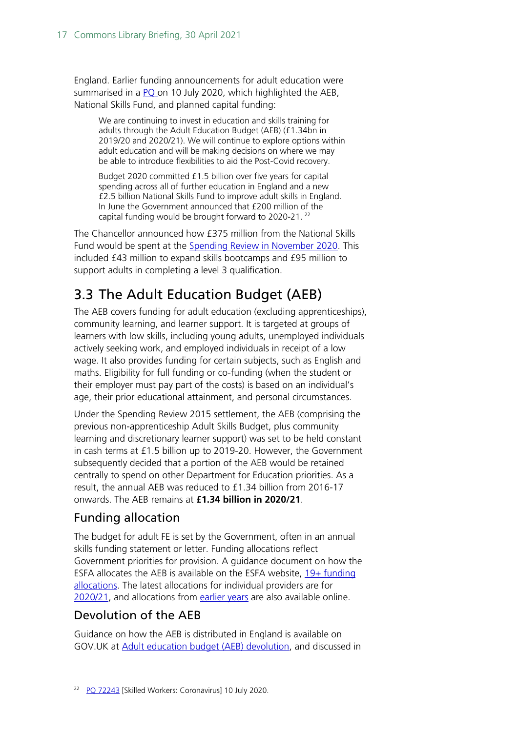England. Earlier funding announcements for adult education were summarised in a [PQ o](https://questions-statements.parliament.uk/written-questions/detail/2020-07-10/72243)n 10 July 2020, which highlighted the AEB, National Skills Fund, and planned capital funding:

We are continuing to invest in education and skills training for adults through the Adult Education Budget (AEB) (£1.34bn in 2019/20 and 2020/21). We will continue to explore options within adult education and will be making decisions on where we may be able to introduce flexibilities to aid the Post-Covid recovery.

[Budget 2020](https://assets.publishing.service.gov.uk/government/uploads/system/uploads/attachment_data/file/871799/Budget_2020_Web_Accessible_Complete.pdf) committed £1.5 billion over five years for capital spending across all of further education in England and a new £2.5 billion National Skills Fund to improve adult skills in England. In June the Government announced that £200 million of the capital funding would be brought forward to 2020-21. [22](#page-16-1)

The Chancellor announced how £375 million from the National Skills Fund would be spent at the [Spending Review in November 2020.](https://www.gov.uk/government/topical-events/spending-review-2020) This included £43 million to expand skills bootcamps and £95 million to support adults in completing a level 3 qualification.

# <span id="page-16-0"></span>3.3 The Adult Education Budget (AEB)

The AEB covers funding for adult education (excluding apprenticeships), community learning, and learner support. It is targeted at groups of learners with low skills, including young adults, unemployed individuals actively seeking work, and employed individuals in receipt of a low wage. It also provides funding for certain subjects, such as English and maths. Eligibility for full funding or co-funding (when the student or their employer must pay part of the costs) is based on an individual's age, their prior educational attainment, and personal circumstances.

Under the Spending Review 2015 settlement, the AEB (comprising the previous non-apprenticeship Adult Skills Budget, plus community learning and discretionary learner support) was set to be held constant in cash terms at £1.5 billion up to 2019-20. However, the Government subsequently decided that a portion of the AEB would be retained centrally to spend on other Department for Education priorities. As a result, the annual AEB was reduced to £1.34 billion from 2016-17 onwards. The AEB remains at **£1.34 billion in 2020/21**.

## Funding allocation

The budget for adult FE is set by the Government, often in an annual skills funding statement or letter. Funding allocations reflect Government priorities for provision. A guidance document on how the ESFA allocates the AEB is available on the ESFA website,  $19+$  funding [allocations.](https://www.gov.uk/guidance/19-funding-allocations) The latest allocations for individual providers are for [2020/21,](https://www.gov.uk/government/publications/funding-allocations-to-training-providers-2020-to-2021) and allocations from [earlier years](https://www.gov.uk/guidance/19-funding-allocations#supporting-documents) are also available online.

### Devolution of the AEB

Guidance on how the AEB is distributed in England is available on GOV.UK at [Adult education budget \(AEB\) devolution,](https://www.gov.uk/government/collections/adult-education-budget-aeb-devolution) and discussed in

<span id="page-16-1"></span><sup>&</sup>lt;sup>22</sup> PO 72243 [Skilled Workers: Coronavirus] 10 July 2020.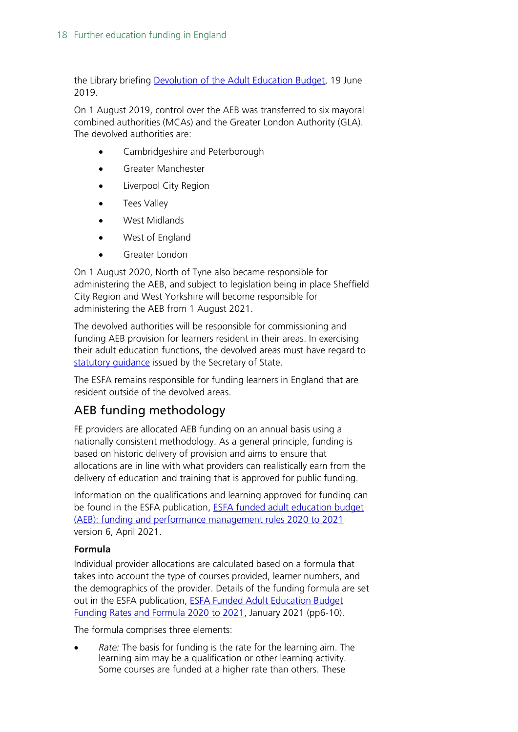the Library briefing [Devolution of the Adult Education Budget,](https://commonslibrary.parliament.uk/research-briefings/cbp-8596/) 19 June 2019.

On 1 August 2019, control over the AEB was transferred to six mayoral combined authorities (MCAs) and the Greater London Authority (GLA). The devolved authorities are:

- Cambridgeshire and Peterborough
- Greater Manchester
- Liverpool City Region
- Tees Valley
- West Midlands
- West of England
- Greater London

On 1 August 2020, North of Tyne also became responsible for administering the AEB, and subject to legislation being in place Sheffield City Region and West Yorkshire will become responsible for administering the AEB from 1 August 2021.

The devolved authorities will be responsible for commissioning and funding AEB provision for learners resident in their areas. In exercising their adult education functions, the devolved areas must have regard to [statutory guidance](https://www.gov.uk/government/publications/exercising-devolved-adult-education-functions) issued by the Secretary of State.

The ESFA remains responsible for funding learners in England that are resident outside of the devolved areas.

### AEB funding methodology

FE providers are allocated AEB funding on an annual basis using a nationally consistent methodology. As a general principle, funding is based on historic delivery of provision and aims to ensure that allocations are in line with what providers can realistically earn from the delivery of education and training that is approved for public funding.

Information on the qualifications and learning approved for funding can be found in the ESFA publication, [ESFA funded adult education budget](https://www.gov.uk/guidance/adult-education-budget-aeb-funding-rules-2020-to-2021)  [\(AEB\): funding and performance management rules 2020 to 2021](https://www.gov.uk/guidance/adult-education-budget-aeb-funding-rules-2020-to-2021) version 6, April 2021.

#### **Formula**

Individual provider allocations are calculated based on a formula that takes into account the type of courses provided, learner numbers, and the demographics of the provider. Details of the funding formula are set out in the ESFA publication, [ESFA Funded Adult Education Budget](https://www.gov.uk/government/publications/adult-education-budget-aeb-funding-rates-and-formula-2020-to-2021)  [Funding Rates and Formula 2020 to 2021,](https://www.gov.uk/government/publications/adult-education-budget-aeb-funding-rates-and-formula-2020-to-2021) January 2021 (pp6-10).

The formula comprises three elements:

• *Rate:* The basis for funding is the rate for the learning aim. The learning aim may be a qualification or other learning activity. Some courses are funded at a higher rate than others. These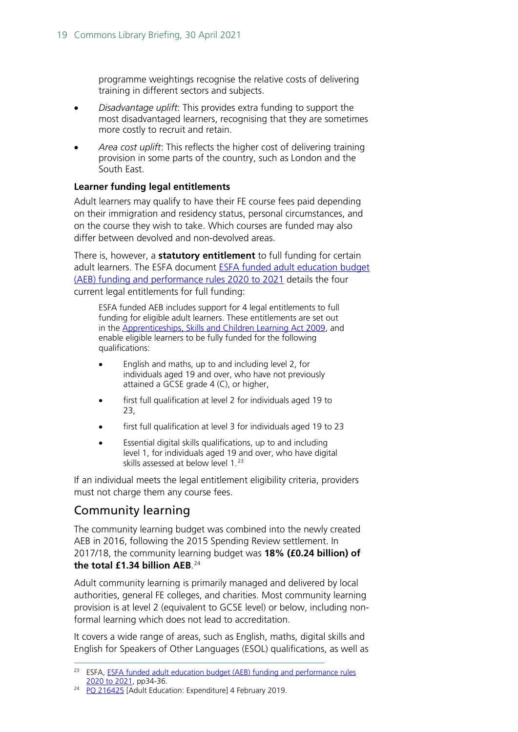programme weightings recognise the relative costs of delivering training in different sectors and subjects.

- *Disadvantage uplift*: This provides extra funding to support the most disadvantaged learners, recognising that they are sometimes more costly to recruit and retain.
- *Area cost uplift*: This reflects the higher cost of delivering training provision in some parts of the country, such as London and the South East.

#### **Learner funding legal entitlements**

Adult learners may qualify to have their FE course fees paid depending on their immigration and residency status, personal circumstances, and on the course they wish to take. Which courses are funded may also differ between devolved and non-devolved areas.

There is, however, a **statutory entitlement** to full funding for certain adult learners. The ESFA document [ESFA funded adult education budget](https://www.gov.uk/guidance/adult-education-budget-aeb-funding-rules-2020-to-2021)  [\(AEB\) funding and performance rules 2020 to 2021](https://www.gov.uk/guidance/adult-education-budget-aeb-funding-rules-2020-to-2021) details the four current legal entitlements for full funding:

ESFA funded AEB includes support for 4 legal entitlements to full funding for eligible adult learners. These entitlements are set out in the [Apprenticeships, Skills and Children Learning Act 2009,](https://www.legislation.gov.uk/ukpga/2009/22/part/4/chapter/1/crossheading/education-and-training-for-persons-aged-19-or-over-etc) and enable eligible learners to be fully funded for the following qualifications:

- English and maths, up to and including level 2, for individuals aged 19 and over, who have not previously attained a GCSE grade 4 (C), or higher,
- first full qualification at level 2 for individuals aged 19 to 23,
- first full qualification at level 3 for individuals aged 19 to 23
- Essential digital skills qualifications, up to and including level 1, for individuals aged 19 and over, who have digital skills assessed at below level 1. [23](#page-18-0)

If an individual meets the legal entitlement eligibility criteria, providers must not charge them any course fees.

### Community learning

The community learning budget was combined into the newly created AEB in 2016, following the 2015 Spending Review settlement. In 2017/18, the community learning budget was **18% (£0.24 billion) of the total £1.34 billion AEB**. [24](#page-18-1)

Adult community learning is primarily managed and delivered by local authorities, general FE colleges, and charities. Most community learning provision is at level 2 (equivalent to GCSE level) or below, including nonformal learning which does not lead to accreditation.

It covers a wide range of areas, such as English, maths, digital skills and English for Speakers of Other Languages (ESOL) qualifications, as well as

<span id="page-18-0"></span><sup>&</sup>lt;sup>23</sup> ESFA, ESFA funded adult education budget (AEB) funding and performance rules [2020 to 2021,](https://www.gov.uk/guidance/adult-education-budget-aeb-funding-rules-2020-to-2021) pp34-36.

<span id="page-18-1"></span><sup>&</sup>lt;sup>24</sup> PO 216425 [Adult Education: Expenditure] 4 February 2019.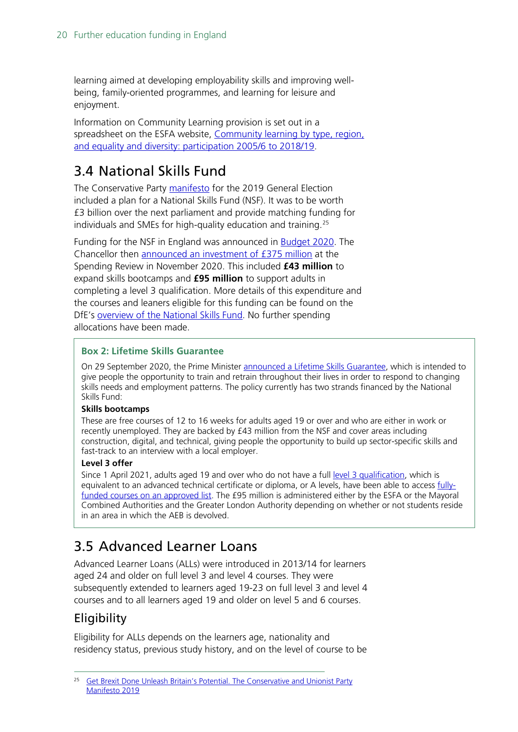learning aimed at developing employability skills and improving wellbeing, family-oriented programmes, and learning for leisure and enjoyment.

Information on Community Learning provision is set out in a spreadsheet on the ESFA website, [Community learning by type, region,](https://www.gov.uk/government/statistical-data-sets/fe-data-library-community-learning)  [and equality and diversity: participation 2005/6 to 2018/19.](https://www.gov.uk/government/statistical-data-sets/fe-data-library-community-learning)

# <span id="page-19-0"></span>3.4 National Skills Fund

The Conservative Party [manifesto](https://assets-global.website-files.com/5da42e2cae7ebd3f8bde353c/5dda924905da587992a064ba_Conservative%202019%20Manifesto.pdf) for the 2019 General Election included a plan for a National Skills Fund (NSF). It was to be worth £3 billion over the next parliament and provide matching funding for individuals and SMEs for high-quality education and training.[25](#page-19-2)

Funding for the NSF in England was announced in **Budget 2020**. The Chancellor then announced [an investment of](https://www.gov.uk/government/topical-events/spending-review-2020) £375 million at the Spending Review in November 2020. This included **£43 million** to expand skills bootcamps and **£95 million** to support adults in completing a level 3 qualification. More details of this expenditure and the courses and leaners eligible for this funding can be found on the DfE's [overview of the National Skills Fund.](https://www.gov.uk/guidance/national-skills-fund) No further spending allocations have been made.

#### **Box 2: Lifetime Skills Guarantee**

On 29 September 2020, the Prime Minister announced a [Lifetime Skills Guarantee,](https://www.gov.uk/government/news/major-expansion-of-post-18-education-and-training-to-level-up-and-prepare-workers-for-post-covid-economy) which is intended to give people the opportunity to train and retrain throughout their lives in order to respond to changing skills needs and employment patterns. The policy currently has two strands financed by the National Skills Fund:

#### **Skills bootcamps**

These are free courses of 12 to 16 weeks for adults aged 19 or over and who are either in work or recently unemployed. They are backed by £43 million from the NSF and cover areas including construction, digital, and technical, giving people the opportunity to build up sector-specific skills and fast-track to an interview with a local employer.

#### **Level 3 offer**

Since 1 April 2021, adults aged 19 and over who do not have a full [level 3 qualification,](https://www.gov.uk/what-different-qualification-levels-mean/list-of-qualification-levels) which is equivalent to an advanced technical certificate or diploma, or A levels, have been able to access [fully](https://www.gov.uk/government/publications/qualifications-in-new-funded-offers)[funded courses on an approved list.](https://www.gov.uk/government/publications/qualifications-in-new-funded-offers) The £95 million is administered either by the ESFA or the Mayoral Combined Authorities and the Greater London Authority depending on whether or not students reside in an area in which the AEB is devolved.

# <span id="page-19-1"></span>3.5 Advanced Learner Loans

Advanced Learner Loans (ALLs) were introduced in 2013/14 for learners aged 24 and older on full level 3 and level 4 courses. They were subsequently extended to learners aged 19-23 on full level 3 and level 4 courses and to all learners aged 19 and older on level 5 and 6 courses.

### **Eligibility**

Eligibility for ALLs depends on the learners age, nationality and residency status, previous study history, and on the level of course to be

<span id="page-19-2"></span><sup>&</sup>lt;sup>25</sup> Get Brexit Done Unleash Britain's Potential. The Conservative and Unionist Party [Manifesto 2019](https://assets-global.website-files.com/5da42e2cae7ebd3f8bde353c/5dda924905da587992a064ba_Conservative%202019%20Manifesto.pdf)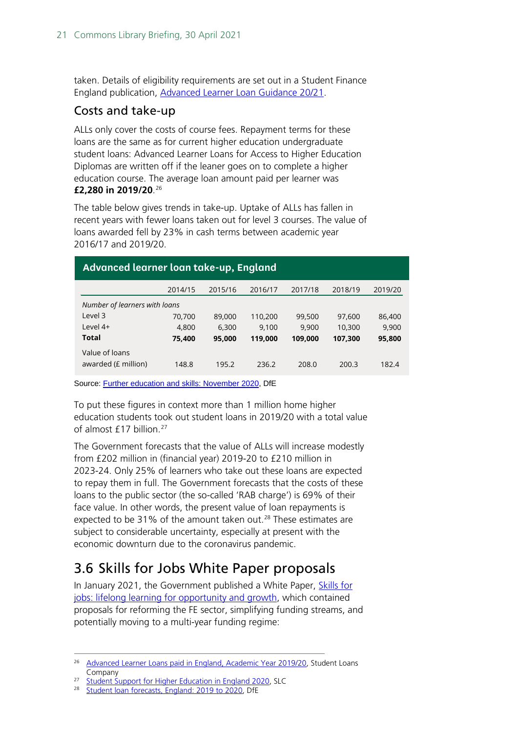taken. Details of eligibility requirements are set out in a Student Finance England publication, [Advanced Learner Loan Guidance 20/21.](https://www.practitioners.slc.co.uk/media/1828/all-guidance-chapter-ay-2020-v20.pdf)

### Costs and take-up

ALLs only cover the costs of course fees. Repayment terms for these loans are the same as for current higher education undergraduate student loans: Advanced Learner Loans for Access to Higher Education Diplomas are written off if the leaner goes on to complete a higher education course. The average loan amount paid per learner was **£2,280 in 2019/20**. [26](#page-20-1)

The table below gives trends in take-up. Uptake of ALLs has fallen in recent years with fewer loans taken out for level 3 courses. The value of loans awarded fell by 23% in cash terms between academic year 2016/17 and 2019/20.

| Advanced tearner toun take-up, England |  |  |  |  |
|----------------------------------------|--|--|--|--|
| 2019/20                                |  |  |  |  |
| Number of learners with loans          |  |  |  |  |
| 86,400                                 |  |  |  |  |
| 9,900                                  |  |  |  |  |
| 95,800                                 |  |  |  |  |
|                                        |  |  |  |  |
| 182.4                                  |  |  |  |  |
|                                        |  |  |  |  |

### **Advanced learner loan take-up, England**

Source[: Further education and skills: November 2020,](https://www.gov.uk/government/statistics/further-education-and-skills-november-2020) DfE

To put these figures in context more than 1 million home higher education students took out student loans in 2019/20 with a total value of almost £17 billion.<sup>[27](#page-20-2)</sup>

The Government forecasts that the value of ALLs will increase modestly from £202 million in (financial year) 2019-20 to £210 million in 2023-24. Only 25% of learners who take out these loans are expected to repay them in full. The Government forecasts that the costs of these loans to the public sector (the so-called 'RAB charge') is 69% of their face value. In other words, the present value of loan repayments is expected to be 31% of the amount taken out.<sup>[28](#page-20-3)</sup> These estimates are subject to considerable uncertainty, especially at present with the economic downturn due to the coronavirus pandemic.

# <span id="page-20-0"></span>3.6 Skills for Jobs White Paper proposals

In January 2021, the Government published a White Paper, [Skills for](https://www.gov.uk/government/publications/skills-for-jobs-lifelong-learning-for-opportunity-and-growth)  [jobs: lifelong learning for opportunity and growth,](https://www.gov.uk/government/publications/skills-for-jobs-lifelong-learning-for-opportunity-and-growth) which contained proposals for reforming the FE sector, simplifying funding streams, and potentially moving to a multi-year funding regime:

<span id="page-20-1"></span><sup>&</sup>lt;sup>26</sup> [Advanced Learner Loans paid in England, Academic Year 2019/20,](https://www.gov.uk/government/statistics/advanced-learner-loans-paid-in-england-ay-201920-aug-to-jul) Student Loans Company

<span id="page-20-3"></span><span id="page-20-2"></span><sup>&</sup>lt;sup>27</sup> [Student Support for Higher Education in England 2020,](https://www.gov.uk/government/statistics/student-support-for-higher-education-in-england-2020) SLC

[Student loan forecasts, England: 2019](https://www.gov.uk/government/statistics/student-loan-forecasts-england-2019-to-2020) to 2020, DfE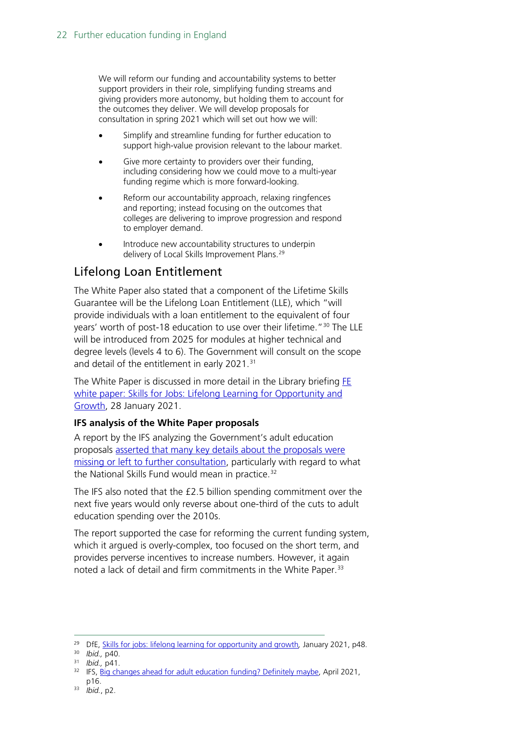We will reform our funding and accountability systems to better support providers in their role, simplifying funding streams and giving providers more autonomy, but holding them to account for the outcomes they deliver. We will develop proposals for consultation in spring 2021 which will set out how we will:

- Simplify and streamline funding for further education to support high-value provision relevant to the labour market.
- Give more certainty to providers over their funding. including considering how we could move to a multi-year funding regime which is more forward-looking.
- Reform our accountability approach, relaxing ringfences and reporting; instead focusing on the outcomes that colleges are delivering to improve progression and respond to employer demand.
- Introduce new accountability structures to underpin delivery of Local Skills Improvement Plans.<sup>[29](#page-21-0)</sup>

### Lifelong Loan Entitlement

The White Paper also stated that a component of the Lifetime Skills Guarantee will be the Lifelong Loan Entitlement (LLE), which "will provide individuals with a loan entitlement to the equivalent of four years' worth of post-18 education to use over their lifetime."[30](#page-21-1) The LLE will be introduced from 2025 for modules at higher technical and degree levels (levels 4 to 6). The Government will consult on the scope and detail of the entitlement in early 2021. [31](#page-21-2)

The White Paper is discussed in more detail in the Library briefing [FE](https://commonslibrary.parliament.uk/research-briefings/cbp-9120/)  white paper: Skills for Jobs: Lifelong Learning for Opportunity and [Growth,](https://commonslibrary.parliament.uk/research-briefings/cbp-9120/) 28 January 2021.

#### **IFS analysis of the White Paper proposals**

A report by the IFS analyzing the Government's adult education proposals [asserted that many key details about the proposals were](https://www.ifs.org.uk/publications/15405) [missing or left to further consultation,](https://www.ifs.org.uk/publications/15405) particularly with regard to what the National Skills Fund would mean in practice.<sup>[32](#page-21-3)</sup>

The IFS also noted that the £2.5 billion spending commitment over the next five years would only reverse about one-third of the cuts to adult education spending over the 2010s.

The report supported the case for reforming the current funding system, which it argued is overly-complex, too focused on the short term, and provides perverse incentives to increase numbers. However, it again noted a lack of detail and firm commitments in the White Paper.<sup>[33](#page-21-4)</sup>

<span id="page-21-1"></span><span id="page-21-0"></span><sup>29</sup> DfE, [Skills for jobs: lifelong learning for opportunity and growth](https://www.gov.uk/government/publications/skills-for-jobs-lifelong-learning-for-opportunity-and-growth)*,* January 2021, p48.

<sup>30</sup> *Ibid.,* p40.

<span id="page-21-2"></span><sup>31</sup> *Ibid.,* p41.

<span id="page-21-3"></span><sup>&</sup>lt;sup>32</sup> IFS[, Big changes ahead for adult education funding? Definitely maybe,](https://www.ifs.org.uk/publications/15405) April 2021, p16.

<span id="page-21-4"></span><sup>33</sup> *Ibid.*, p2.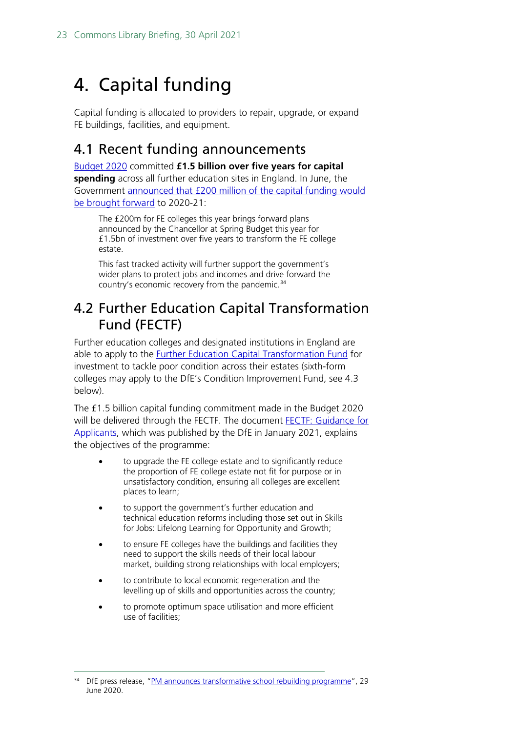# <span id="page-22-0"></span>4. Capital funding

Capital funding is allocated to providers to repair, upgrade, or expand FE buildings, facilities, and equipment.

## <span id="page-22-1"></span>4.1 Recent funding announcements

[Budget 2020](https://assets.publishing.service.gov.uk/government/uploads/system/uploads/attachment_data/file/871799/Budget_2020_Web_Accessible_Complete.pdf) committed **£1.5 billion over five years for capital spending** across all further education sites in England. In June, the Government [announced that £200 million of the capital funding would](https://www.gov.uk/government/news/pm-announces-transformative-school-rebuilding-programme?dm_i=26BG,6XJOW,B1LAK,RVFKO,1)  [be brought forward](https://www.gov.uk/government/news/pm-announces-transformative-school-rebuilding-programme?dm_i=26BG,6XJOW,B1LAK,RVFKO,1) to 2020-21:

The £200m for FE colleges this year brings forward plans announced by the Chancellor at Spring Budget this year for £1.5bn of investment over five years to transform the FE college estate.

This fast tracked activity will further support the government's wider plans to protect jobs and incomes and drive forward the country's economic recovery from the pandemic.<sup>[34](#page-22-3)</sup>

# <span id="page-22-2"></span>4.2 Further Education Capital Transformation Fund (FECTF)

Further education colleges and designated institutions in England are able to apply to the [Further Education Capital Transformation Fund](https://www.gov.uk/government/publications/further-education-capital-transformation-fund) for investment to tackle poor condition across their estates (sixth-form colleges may apply to the DfE's Condition Improvement Fund, see 4.3 below).

The £1.5 billion capital funding commitment made in the Budget 2020 will be delivered through the FECTF. The document **FECTF: Guidance for** [Applicants,](https://www.gov.uk/government/publications/further-education-capital-transformation-fund) which was published by the DfE in January 2021, explains the objectives of the programme:

- to upgrade the FE college estate and to significantly reduce the proportion of FE college estate not fit for purpose or in unsatisfactory condition, ensuring all colleges are excellent places to learn;
- to support the government's further education and technical education reforms including those set out in Skills for Jobs: Lifelong Learning for Opportunity and Growth;
- to ensure FE colleges have the buildings and facilities they need to support the skills needs of their local labour market, building strong relationships with local employers;
- to contribute to local economic regeneration and the levelling up of skills and opportunities across the country;
- to promote optimum space utilisation and more efficient use of facilities;

<span id="page-22-3"></span><sup>&</sup>lt;sup>34</sup> DfE press release, ["PM announces transformative school rebuilding programme"](https://www.gov.uk/government/news/pm-announces-transformative-school-rebuilding-programme?dm_i=26BG,6XJOW,B1LAK,RVFKO,1). 29 June 2020.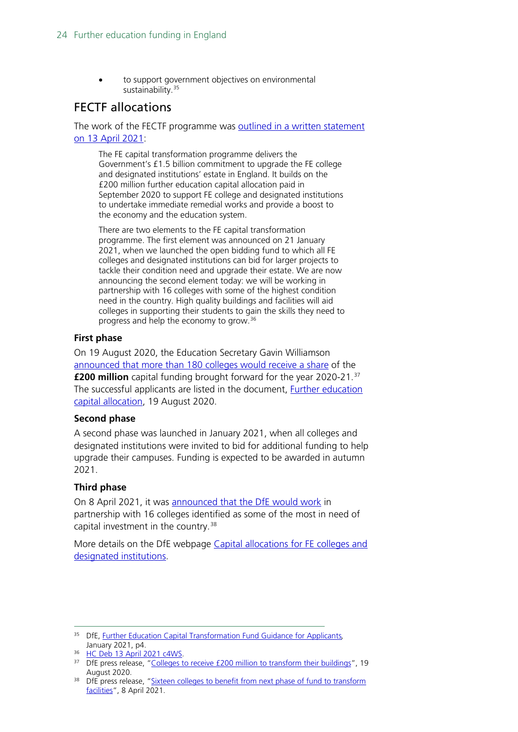to support government objectives on environmental sustainability.<sup>[35](#page-23-0)</sup>

### FECTF allocations

The work of the FECTF programme was outlined in [a written statement](https://hansard.parliament.uk/commons/2021-04-13/debates/21041370000011/FurtherEducationCapitalTransformationFund)  [on 13 April 2021:](https://hansard.parliament.uk/commons/2021-04-13/debates/21041370000011/FurtherEducationCapitalTransformationFund)

The FE capital transformation programme delivers the Government's £1.5 billion commitment to upgrade the FE college and designated institutions' estate in England. It builds on the £200 million further education capital allocation paid in September 2020 to support FE college and designated institutions to undertake immediate remedial works and provide a boost to the economy and the education system.

There are two elements to the FE capital transformation programme. The first element was announced on 21 January 2021, when we launched the open bidding fund to which all FE colleges and designated institutions can bid for larger projects to tackle their condition need and upgrade their estate. We are now announcing the second element today: we will be working in partnership with 16 colleges with some of the highest condition need in the country. High quality buildings and facilities will aid colleges in supporting their students to gain the skills they need to progress and help the economy to grow.[36](#page-23-1)

#### **First phase**

On 19 August 2020, the Education Secretary Gavin Williamson announced [that more than 180 colleges would receive a share](https://www.gov.uk/government/news/colleges-to-receive-200-million-to-transform-their-buildings) of the **£200 million** capital funding brought forward for the year 2020-21.<sup>[37](#page-23-2)</sup> The successful applicants are listed in the document, [Further education](https://www.gov.uk/government/publications/capital-allocations-for-fe-colleges-and-designated-institutions)  [capital allocation,](https://www.gov.uk/government/publications/capital-allocations-for-fe-colleges-and-designated-institutions) 19 August 2020.

#### **Second phase**

A second phase was launched in January 2021, when all colleges and designated institutions were invited to bid for additional funding to help upgrade their campuses. Funding is expected to be awarded in autumn 2021.

#### **Third phase**

On 8 April 2021, it was [announced that the DfE would work](https://www.gov.uk/government/news/sixteen-colleges-to-benefit-from-next-phase-of-fund-to-transform-facilities?utm_source=HOC+Library+-+Current+awareness+bulletins&utm_campaign=3843baf287-Current_Awareness_Social_Policy_I_08-04-2021&utm_medium=email&utm_term=0_f325cdbfdc-3843baf287-103780046&mc_cid=3843baf287&mc_eid=ced9d455a1) in partnership with 16 colleges identified as some of the most in need of capital investment in the country.<sup>[38](#page-23-3)</sup>

More details on the DfE webpage [Capital allocations for FE colleges and](https://www.gov.uk/government/publications/capital-allocations-for-fe-colleges-and-designated-institutions)  [designated institutions.](https://www.gov.uk/government/publications/capital-allocations-for-fe-colleges-and-designated-institutions)

<span id="page-23-0"></span><sup>35</sup> DfE, [Further Education Capital Transformation Fund Guidance for Applicants](https://assets.publishing.service.gov.uk/government/uploads/system/uploads/attachment_data/file/965802/FETF_guidance_for_applicants.pdf)*,*  January 2021, p4.

<span id="page-23-1"></span><sup>36</sup> [HC Deb 13 April 2021 c4WS.](https://hansard.parliament.uk/commons/2021-04-13/debates/21041370000011/FurtherEducationCapitalTransformationFund)

<span id="page-23-2"></span><sup>&</sup>lt;sup>37</sup> DfE press release, ["Colleges to receive £200 million to transform their buildings"](https://www.gov.uk/government/news/colleges-to-receive-200-million-to-transform-their-buildings), 19 August 2020.<br><sup>38</sup> DfE press release, "Sixteen colleges to benefit from next phase of fund to transform

<span id="page-23-3"></span>[facilities"](https://www.gov.uk/government/news/sixteen-colleges-to-benefit-from-next-phase-of-fund-to-transform-facilities?utm_source=HOC+Library+-+Current+awareness+bulletins&utm_campaign=3843baf287-Current_Awareness_Social_Policy_I_08-04-2021&utm_medium=email&utm_term=0_f325cdbfdc-3843baf287-103780046&mc_cid=3843baf287&mc_eid=ced9d455a1), 8 April 2021.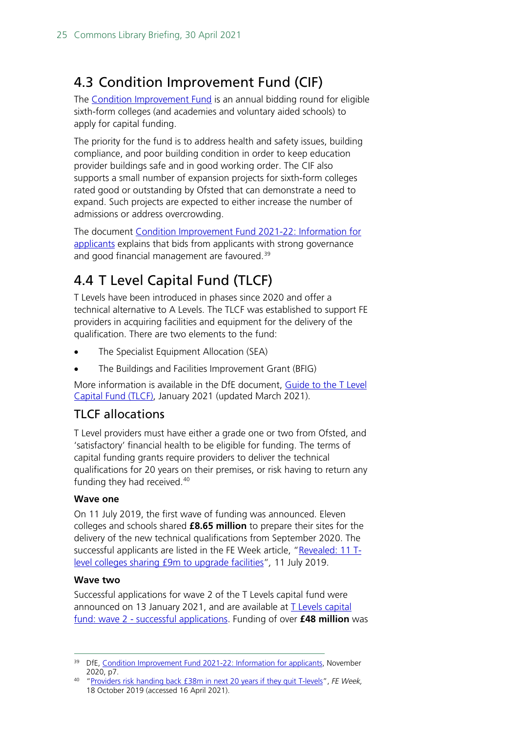# <span id="page-24-0"></span>4.3 Condition Improvement Fund (CIF)

The [Condition Improvement Fund](https://www.gov.uk/guidance/condition-improvement-fund) is an annual bidding round for eligible sixth-form colleges (and academies and voluntary aided schools) to apply for capital funding.

The priority for the fund is to address health and safety issues, building compliance, and poor building condition in order to keep education provider buildings safe and in good working order. The CIF also supports a small number of expansion projects for sixth-form colleges rated good or outstanding by Ofsted that can demonstrate a need to expand. Such projects are expected to either increase the number of admissions or address overcrowding.

The document [Condition Improvement Fund 2021-22:](https://www.gov.uk/guidance/condition-improvement-fund#information-for-cif-applicants-2021-to-2022) Information for [applicants](https://www.gov.uk/guidance/condition-improvement-fund#information-for-cif-applicants-2021-to-2022) explains that bids from applicants with strong governance and good financial management are favoured.<sup>[39](#page-24-2)</sup>

# <span id="page-24-1"></span>4.4 T Level Capital Fund (TLCF)

T Levels have been introduced in phases since 2020 and offer a technical alternative to A Levels. The TLCF was established to support FE providers in acquiring facilities and equipment for the delivery of the qualification. There are two elements to the fund:

- The Specialist Equipment Allocation (SEA)
- The Buildings and Facilities Improvement Grant (BFIG)

More information is available in the DfE document, [Guide to the T Level](https://www.gov.uk/government/publications/t-levels-capital-fund)  [Capital Fund \(TLCF\),](https://www.gov.uk/government/publications/t-levels-capital-fund) January 2021 (updated March 2021).

### TLCF allocations

T Level providers must have either a grade one or two from Ofsted, and 'satisfactory' financial health to be eligible for funding. The terms of capital funding grants require providers to deliver the technical qualifications for 20 years on their premises, or risk having to return any funding they had received.<sup>[40](#page-24-3)</sup>

#### **Wave one**

On 11 July 2019, the first wave of funding was announced. Eleven colleges and schools shared **£8.65 million** to prepare their sites for the delivery of the new technical qualifications from September 2020. The successful applicants are listed in the FE Week article, ["Revealed: 11 T](https://feweek.co.uk/2019/07/11/revealed-the-first-11-colleges-to-win-cash-from-38m-t-levels-capital-fund/)[level colleges sharing £9m to upgrade facilities"](https://feweek.co.uk/2019/07/11/revealed-the-first-11-colleges-to-win-cash-from-38m-t-levels-capital-fund/)*,* 11 July 2019.

#### **Wave two**

Successful applications for wave 2 of the T Levels capital fund were announced on 13 January 2021, and are available at [T Levels capital](https://www.gov.uk/government/publications/t-levels-capital-fund-wave-2-successful-applications)  fund: wave 2 - [successful applications.](https://www.gov.uk/government/publications/t-levels-capital-fund-wave-2-successful-applications) Funding of over **£48 million** was

<span id="page-24-2"></span><sup>&</sup>lt;sup>39</sup> DfE, [Condition Improvement Fund 2021-22: Information for applicants,](https://www.gov.uk/guidance/condition-improvement-fund#information-for-cif-applicants-2021-to-2022) November 2020, p7.

<span id="page-24-3"></span><sup>40</sup> ["Providers risk handing back £38m in next 20 years if they quit T-levels"](https://feweek.co.uk/2019/10/18/providers-risk-handing-back-38m-in-next-20-years-if-they-quit-t-levels/), *FE Week,*  18 October 2019 (accessed 16 April 2021).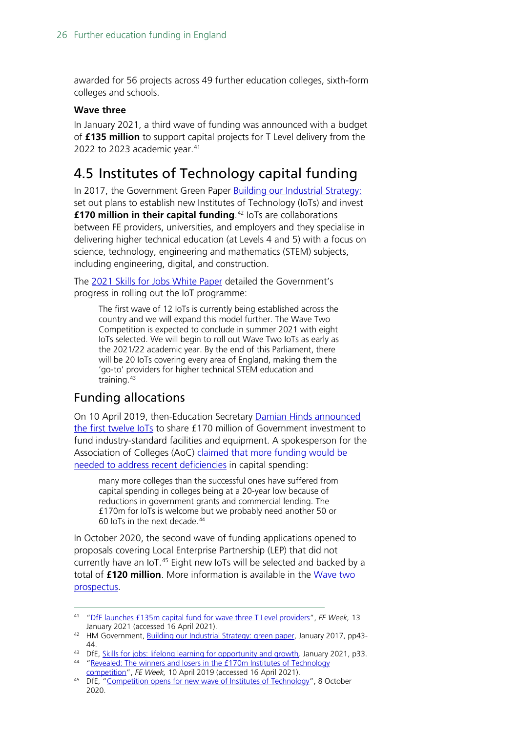awarded for 56 projects across 49 further education colleges, sixth-form colleges and schools.

#### **Wave three**

In January 2021, a third wave of funding was announced with a budget of **£135 million** to support capital projects for T Level delivery from the 2022 to 2023 academic year. $41$ 

# <span id="page-25-0"></span>4.5 Institutes of Technology capital funding

In 2017, the Government Green Paper [Building our Industrial Strategy:](https://www.gov.uk/government/consultations/building-our-industrial-strategy)  set out plans to establish new Institutes of Technology (IoTs) and invest **£170 million in their capital funding**. [42](#page-25-2) IoTs are collaborations between FE providers, universities, and employers and they specialise in delivering higher technical education (at Levels 4 and 5) with a focus on science, technology, engineering and mathematics (STEM) subjects, including engineering, digital, and construction.

The [2021 Skills for Jobs White Paper](https://www.gov.uk/government/publications/skills-for-jobs-lifelong-learning-for-opportunity-and-growth) detailed the Government's progress in rolling out the IoT programme:

The first wave of 12 IoTs is currently being established across the country and we will expand this model further. The Wave Two Competition is expected to conclude in summer 2021 with eight IoTs selected. We will begin to roll out Wave Two IoTs as early as the 2021/22 academic year. By the end of this Parliament, there will be 20 IoTs covering every area of England, making them the 'go-to' providers for higher technical STEM education and training. [43](#page-25-3)

### Funding allocations

On 10 April 2019, then-Education Secretary [Damian Hinds](https://www.gov.uk/government/news/the-first-twelve-institutes-of-technology-announced) announced [the first twelve IoTs](https://www.gov.uk/government/news/the-first-twelve-institutes-of-technology-announced) to share £170 million of Government investment to fund industry-standard facilities and equipment. A spokesperson for the Association of Colleges (AoC) claimed [that more funding would be](https://feweek.co.uk/2019/04/10/revealed-the-winners-and-losers-in-the-170m-institutes-of-technology-competition/)  [needed to address recent deficiencies](https://feweek.co.uk/2019/04/10/revealed-the-winners-and-losers-in-the-170m-institutes-of-technology-competition/) in capital spending:

many more colleges than the successful ones have suffered from capital spending in colleges being at a 20-year low because of reductions in government grants and commercial lending. The £170m for IoTs is welcome but we probably need another 50 or 60 IoTs in the next decade.[44](#page-25-4)

In October 2020, the second wave of funding applications opened to proposals covering Local Enterprise Partnership (LEP) that did not currently have an IoT.<sup>[45](#page-25-5)</sup> Eight new IoTs will be selected and backed by a total of **£120 million**. More information is available in the [Wave two](https://www.gov.uk/government/publications/institutes-of-technology-wave-2-competition-prospectus)  [prospectus.](https://www.gov.uk/government/publications/institutes-of-technology-wave-2-competition-prospectus)

<span id="page-25-1"></span><sup>41</sup> ["DfE launches £135m capital fund for wave three T Level providers"](https://feweek.co.uk/2021/01/13/dfe-launches-135m-capital-fund-for-wave-three-t-level-providers/), *FE Week,* 13 January 2021 (accessed 16 April 2021).

<span id="page-25-2"></span><sup>42</sup> HM Government, [Building our Industrial Strategy: green paper,](https://assets.publishing.service.gov.uk/government/uploads/system/uploads/attachment_data/file/611705/building-our-industrial-strategy-green-paper.pdf) January 2017, pp43- $\Lambda$ 

<span id="page-25-4"></span><span id="page-25-3"></span><sup>43</sup> DfE, [Skills for jobs: lifelong learning for opportunity and growth](https://www.gov.uk/government/publications/skills-for-jobs-lifelong-learning-for-opportunity-and-growth)*,* January 2021, p33. <sup>44</sup> "Revealed: The winners and losers in the £170m Institutes of Technology<br>competition", FE Week, 10 April 2019 (accessed 16 April 2021).

<span id="page-25-5"></span><sup>&</sup>lt;sup>45</sup> DfE, ["Competition opens for new wave of Institutes of Technology"](https://www.gov.uk/government/news/competition-opens-for-new-wave-of-institutes-of-technology), 8 October 2020.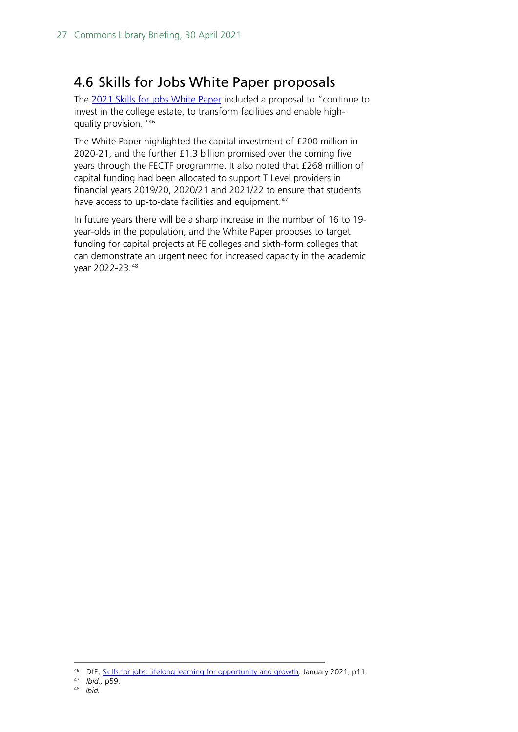## <span id="page-26-0"></span>4.6 Skills for Jobs White Paper proposals

The 2021 [Skills for jobs White Paper](https://www.gov.uk/government/publications/skills-for-jobs-lifelong-learning-for-opportunity-and-growth) included a proposal to "continue to invest in the college estate, to transform facilities and enable highquality provision."[46](#page-26-1)

The White Paper highlighted the capital investment of £200 million in 2020-21, and the further £1.3 billion promised over the coming five years through the FECTF programme. It also noted that £268 million of capital funding had been allocated to support T Level providers in financial years 2019/20, 2020/21 and 2021/22 to ensure that students have access to up-to-date facilities and equipment.<sup>[47](#page-26-2)</sup>

In future years there will be a sharp increase in the number of 16 to 19 year-olds in the population, and the White Paper proposes to target funding for capital projects at FE colleges and sixth-form colleges that can demonstrate an urgent need for increased capacity in the academic year 2022-23.[48](#page-26-3)

<span id="page-26-3"></span><span id="page-26-2"></span>47 *Ibid.,* p59.

<span id="page-26-1"></span><sup>46</sup> DfE, [Skills for jobs: lifelong learning for opportunity and growth](https://www.gov.uk/government/publications/skills-for-jobs-lifelong-learning-for-opportunity-and-growth)*,* January 2021, p11.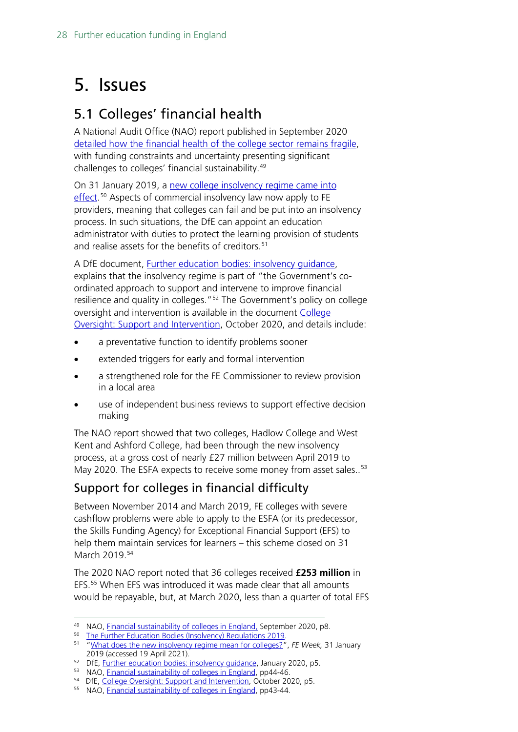# <span id="page-27-0"></span>5. Issues

# <span id="page-27-1"></span>5.1 Colleges' financial health

A National Audit Office (NAO) report published in September 2020 [detailed how the financial health of the college sector remains](https://www.nao.org.uk/wp-content/uploads/2020/09/Financial-sustainability-of-colleges-in-England.pdf) fragile, with funding constraints and uncertainty presenting significant challenges to colleges' financial sustainability. [49](#page-27-2)

On 31 January 2019, a [new college insolvency regime came](https://www.legislation.gov.uk/uksi/2019/138/contents/made) into [effect.](https://www.legislation.gov.uk/uksi/2019/138/contents/made)<sup>[50](#page-27-3)</sup> Aspects of commercial insolvency law now apply to FE providers, meaning that colleges can fail and be put into an insolvency process. In such situations, the DfE can appoint an education administrator with duties to protect the learning provision of students and realise assets for the benefits of creditors. [51](#page-27-4)

A DfE document, Further education bodies: insolvency quidance, explains that the insolvency regime is part of "the Government's coordinated approach to support and intervene to improve financial resilience and quality in colleges.<sup>" 52</sup> The Government's policy on college oversight and intervention is available in the document [College](https://www.gov.uk/government/publications/college-oversight-support-and-intervention)  [Oversight: Support and Intervention,](https://www.gov.uk/government/publications/college-oversight-support-and-intervention) October 2020, and details include:

- a preventative function to identify problems sooner
- extended triggers for early and formal intervention
- a strengthened role for the FE Commissioner to review provision in a local area
- use of independent business reviews to support effective decision making

The NAO report showed that two colleges, Hadlow College and West Kent and Ashford College, had been through the new insolvency process, at a gross cost of nearly £27 million between April 2019 to May 2020. The ESFA expects to receive some money from asset sales..<sup>[53](#page-27-6)</sup>

## Support for colleges in financial difficulty

Between November 2014 and March 2019, FE colleges with severe cashflow problems were able to apply to the ESFA (or its predecessor, the Skills Funding Agency) for Exceptional Financial Support (EFS) to help them maintain services for learners – this scheme closed on 31 March 2019.<sup>[54](#page-27-7)</sup>

The 2020 NAO report noted that 36 colleges received **£253 million** in EFS.[55](#page-27-8) When EFS was introduced it was made clear that all amounts would be repayable, but, at March 2020, less than a quarter of total EFS

<span id="page-27-3"></span><span id="page-27-2"></span><sup>49</sup> NAO, [Financial sustainability of colleges in England,](https://www.nao.org.uk/wp-content/uploads/2020/09/Financial-sustainability-of-colleges-in-England.pdf) September 2020, p8.

<sup>50</sup> [The Further Education Bodies \(Insolvency\) Regulations 2019.](https://hopuk-my.sharepoint.com/personal/boltonpd_parliament_uk/Documents/The%20Further%20Education%20Bodies%20(Insolvency)%20Regulations%202019)

<span id="page-27-4"></span><sup>51</sup> ["What does the new insolvency regime mean for colleges?"](https://feweek.co.uk/2019/01/31/what-does-the-new-insolvency-regime-mean-for-colleges/), *FE Week,* 31 January 2019 (accessed 19 April 2021).

<span id="page-27-5"></span><sup>&</sup>lt;sup>52</sup> DfE, *Further education bodies: insolvency guidance*, January 2020, p5.

<sup>53</sup> NAO, [Financial sustainability of colleges in England,](https://www.nao.org.uk/wp-content/uploads/2020/09/Financial-sustainability-of-colleges-in-England.pdf) pp44-46.

<span id="page-27-7"></span><span id="page-27-6"></span><sup>54</sup> DfE, [College Oversight: Support and Intervention,](https://www.gov.uk/government/publications/college-oversight-support-and-intervention) October 2020, p5.

<span id="page-27-8"></span><sup>55</sup> NAO, [Financial sustainability of colleges in England,](https://www.nao.org.uk/wp-content/uploads/2020/09/Financial-sustainability-of-colleges-in-England.pdf) pp43-44.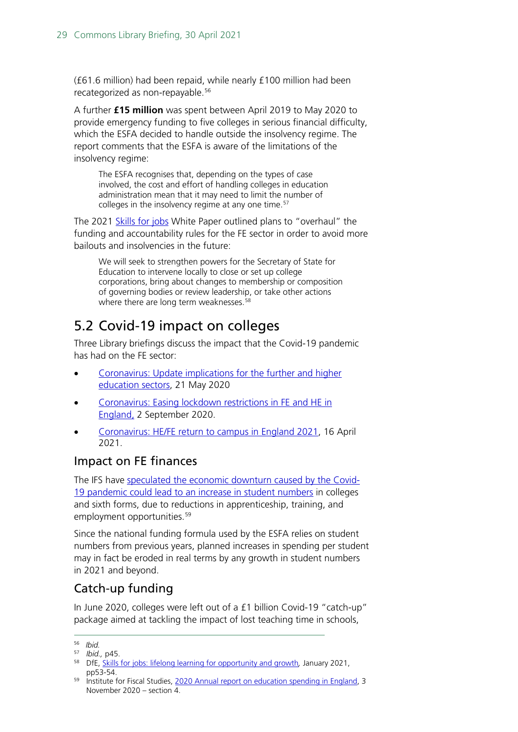(£61.6 million) had been repaid, while nearly £100 million had been recategorized as non-repayable. [56](#page-28-1)

A further **£15 million** was spent between April 2019 to May 2020 to provide emergency funding to five colleges in serious financial difficulty, which the ESFA decided to handle outside the insolvency regime. The report comments that the ESFA is aware of the limitations of the insolvency regime:

The ESFA recognises that, depending on the types of case involved, the cost and effort of handling colleges in education administration mean that it may need to limit the number of colleges in the insolvency regime at any one time. [57](#page-28-2)

The 2021 [Skills for jobs](https://www.gov.uk/government/publications/skills-for-jobs-lifelong-learning-for-opportunity-and-growth) White Paper outlined plans to "overhaul" the funding and accountability rules for the FE sector in order to avoid more bailouts and insolvencies in the future:

We will seek to strengthen powers for the Secretary of State for Education to intervene locally to close or set up college corporations, bring about changes to membership or composition of governing bodies or review leadership, or take other actions where there are long term weaknesses.<sup>[58](#page-28-3)</sup>

# <span id="page-28-0"></span>5.2 Covid-19 impact on colleges

Three Library briefings discuss the impact that the Covid-19 pandemic has had on the FE sector:

- [Coronavirus: Update implications for the further and higher](https://researchbriefings.files.parliament.uk/documents/CBP-8908/CBP-8908.pdf)  [education sectors,](https://researchbriefings.files.parliament.uk/documents/CBP-8908/CBP-8908.pdf) 21 May 2020
- [Coronavirus: Easing lockdown restrictions in FE and HE in](https://researchbriefings.files.parliament.uk/documents/CBP-8932/CBP-8932.pdf)  [England,](https://researchbriefings.files.parliament.uk/documents/CBP-8932/CBP-8932.pdf) 2 September 2020.
- [Coronavirus: HE/FE return to campus in England 2021,](https://commonslibrary.parliament.uk/research-briefings/cbp-9142/) 16 April 2021.

### Impact on FE finances

The IFS have [speculated the economic downturn caused by the Covid-](https://www.ifs.org.uk/publications/15150)[19 pandemic could lead to an increase in student numbers](https://www.ifs.org.uk/publications/15150) in colleges and sixth forms, due to reductions in apprenticeship, training, and employment opportunities.<sup>[59](#page-28-4)</sup>

Since the national funding formula used by the ESFA relies on student numbers from previous years, planned increases in spending per student may in fact be eroded in real terms by any growth in student numbers in 2021 and beyond.

### Catch-up funding

In June 2020, colleges were left out of a £1 billion Covid-19 "catch-up" package aimed at tackling the impact of lost teaching time in schools,

<sup>56</sup> *Ibid.*

<span id="page-28-2"></span><span id="page-28-1"></span><sup>57</sup> *Ibid.,* p45.

<span id="page-28-3"></span><sup>58</sup> DfE, [Skills for jobs: lifelong learning for opportunity and growth](https://www.gov.uk/government/publications/skills-for-jobs-lifelong-learning-for-opportunity-and-growth)*,* January 2021, pp53-54.

<span id="page-28-4"></span><sup>&</sup>lt;sup>59</sup> Institute for Fiscal Studies, [2020 Annual report on education spending in England,](https://www.ifs.org.uk/publications/15150) 3 November 2020 – section 4.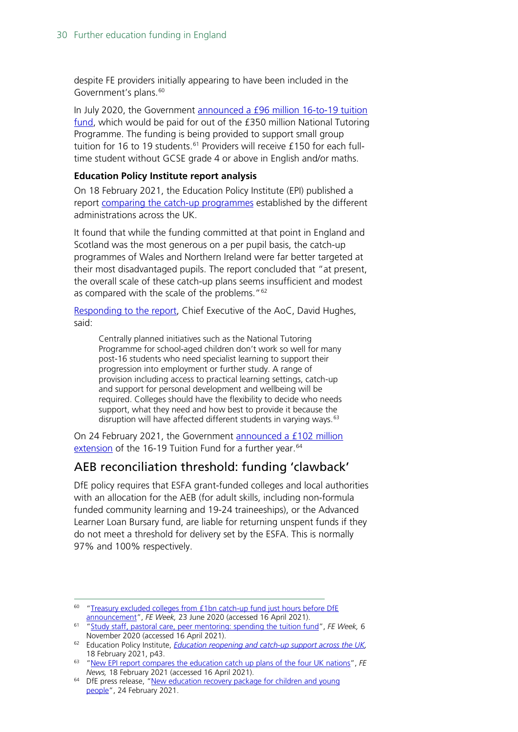despite FE providers initially appearing to have been included in the Government's plans.<sup>[60](#page-29-0)</sup>

In July 2020, the Government [announced a £96 million 16-to-19 tuition](https://www.gov.uk/guidance/16-to-19-funding-16-to-19-tuition-fund)  [fund,](https://www.gov.uk/guidance/16-to-19-funding-16-to-19-tuition-fund) which would be paid for out of the £350 million National Tutoring Programme. The funding is being provided to support small group tuition for 16 to 19 students.<sup>[61](#page-29-1)</sup> Providers will receive £150 for each fulltime student without GCSE grade 4 or above in English and/or maths.

#### **Education Policy Institute report analysis**

On 18 February 2021, the Education Policy Institute (EPI) published a report [comparing the catch-up programmes](https://epi.org.uk/publications-and-research/reopening-catch-up-support-uk/) established by the different administrations across the UK.

It found that while the funding committed at that point in England and Scotland was the most generous on a per pupil basis, the catch-up programmes of Wales and Northern Ireland were far better targeted at their most disadvantaged pupils. The report concluded that "at present, the overall scale of these catch-up plans seems insufficient and modest as compared with the scale of the problems."<sup>[62](#page-29-2)</sup>

[Responding to the report,](https://www.fenews.co.uk/fevoices/63506-new-report-compares-the-education-catch-up-plans-of-the-four-uk-nations) Chief Executive of the AoC, David Hughes, said:

Centrally planned initiatives such as the National Tutoring Programme for school-aged children don't work so well for many post-16 students who need specialist learning to support their progression into employment or further study. A range of provision including access to practical learning settings, catch-up and support for personal development and wellbeing will be required. Colleges should have the flexibility to decide who needs support, what they need and how best to provide it because the disruption will have affected different students in varying ways.<sup>[63](#page-29-3)</sup>

On 24 February 2021, the Government [announced a £102 million](https://www.gov.uk/government/news/new-education-recovery-package-for-children-and-young-people)  [extension](https://www.gov.uk/government/news/new-education-recovery-package-for-children-and-young-people) of the 16-19 Tuition Fund for a further year.<sup>[64](#page-29-4)</sup>

### AEB reconciliation threshold: funding 'clawback'

DfE policy requires that ESFA grant-funded colleges and local authorities with an allocation for the AEB (for adult skills, including non-formula funded community learning and 19-24 traineeships), or the Advanced Learner Loan Bursary fund, are liable for returning unspent funds if they do not meet a threshold for delivery set by the ESFA. This is normally 97% and 100% respectively.

<span id="page-29-0"></span><sup>&</sup>lt;sup>60</sup> "Treasury excluded colleges from £1bn catch-up fund just hours before DfE [announcement"](https://feweek.co.uk/2020/06/23/treasury-excluded-colleges-from-1bn-catch-up-fund-just-hours-before-dfe-announcement/), *FE Week,* 23 June 2020 (accessed 16 April 2021).

<span id="page-29-1"></span><sup>61</sup> ["Study staff, pastoral care, peer mentoring: spending the tuition fund"](https://feweek.co.uk/2020/11/06/study-staff-pastoral-care-peer-mentoring-spending-the-tuition-fund/), *FE Week,* 6 November 2020 (accessed 16 April 2021).

<span id="page-29-2"></span><sup>62</sup> Education Policy Institute, *[Education reopening and catch-up support across the UK,](https://epi.org.uk/publications-and-research/reopening-catch-up-support-uk/)*  18 February 2021, p43.

<span id="page-29-3"></span><sup>63</sup> ["New EPI report compares the education catch up plans of the four UK nations"](https://www.fenews.co.uk/fevoices/63506-new-report-compares-the-education-catch-up-plans-of-the-four-uk-nations), *FE News,* 18 February 2021 (accessed 16 April 2021).

<span id="page-29-4"></span><sup>&</sup>lt;sup>64</sup> DfE press release, "New education recovery package for children and young [people"](https://www.gov.uk/government/news/new-education-recovery-package-for-children-and-young-people), 24 February 2021.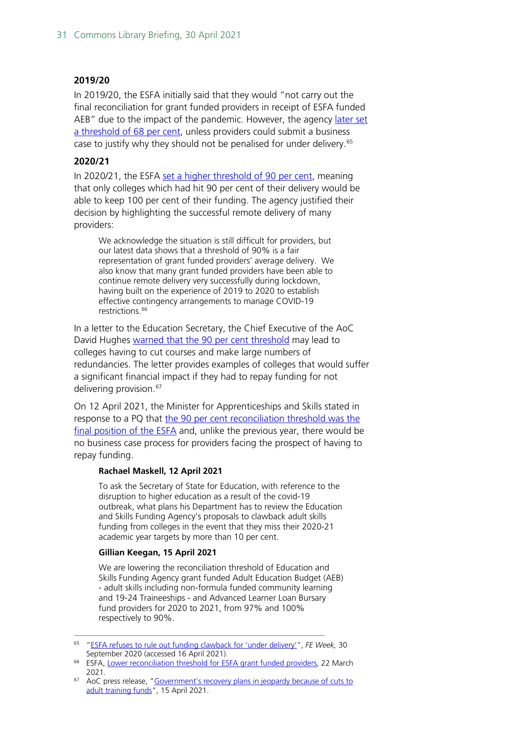#### **2019/20**

In 2019/20, the ESFA initially said that they would "not carry out the final reconciliation for grant funded providers in receipt of ESFA funded AEB" due to the impact of the pandemic. However, the agency later set [a threshold of 68](https://www.gov.uk/government/news/lower-reconciliation-threshold-for-esfa-grant-funded-providers?utm_medium=email&utm_campaign=govuk-notifications&utm_source=d8620447-7d6a-4ee8-8ed2-8eb3570b082f&utm_content=immediately) per cent, unless providers could submit a business case to justify why they should not be penalised for under delivery. [65](#page-30-0)

#### **2020/21**

In 2020/21, the ESFA set [a higher threshold of 90](https://www.gov.uk/government/news/lower-reconciliation-threshold-for-esfa-grant-funded-providers?utm_medium=email&utm_campaign=govuk-notifications&utm_source=d8620447-7d6a-4ee8-8ed2-8eb3570b082f&utm_content=immediately) per cent, meaning that only colleges which had hit 90 per cent of their delivery would be able to keep 100 per cent of their funding. The agency justified their decision by highlighting the successful remote delivery of many providers:

We acknowledge the situation is still difficult for providers, but our latest data shows that a threshold of 90% is a fair representation of grant funded providers' average delivery. We also know that many grant funded providers have been able to continue remote delivery very successfully during lockdown, having built on the experience of 2019 to 2020 to establish effective contingency arrangements to manage COVID-19 restrictions.<sup>[66](#page-30-1)</sup>

In a letter to the Education Secretary, the Chief Executive of the AoC David Hughes [warned that the 90 per cent](https://www.aoc.co.uk/news/government%E2%80%99s-recovery-plans-in-jeopardy-because-cuts-adult-training-funds?utm_source=HOC+Library+-+Current+awareness+bulletins&utm_campaign=0c78e373c3-Current_Awareness_Social_Policy_E_16-04-2021&utm_medium=email&utm_term=0_f325cdbfdc-0c78e373c3-104017050&mc_cid=0c78e373c3&mc_eid=70da77b5ba) threshold may lead to colleges having to cut courses and make large numbers of redundancies. The letter provides examples of colleges that would suffer a significant financial impact if they had to repay funding for not delivering provision. [67](#page-30-2)

On 12 April 2021, the Minister for Apprenticeships and Skills stated in response to a PQ that the 90 [per cent reconciliation](https://questions-statements.parliament.uk/written-questions/detail/2021-04-12/179245) threshold was the [final position of the ESFA](https://questions-statements.parliament.uk/written-questions/detail/2021-04-12/179245) and, unlike the previous year, there would be no business case process for providers facing the prospect of having to repay funding.

#### **Rachael Maskell, 12 April 2021**

To ask the Secretary of State for Education, with reference to the disruption to higher education as a result of the covid-19 outbreak, what plans his Department has to review the Education and Skills Funding Agency's proposals to clawback adult skills funding from colleges in the event that they miss their 2020-21 academic year targets by more than 10 per cent.

#### **Gillian Keegan, 15 April 2021**

We are lowering the reconciliation threshold of Education and Skills Funding Agency grant funded Adult Education Budget (AEB) - adult skills including non-formula funded community learning and 19-24 Traineeships - and Advanced Learner Loan Bursary fund providers for 2020 to 2021, from 97% and 100% respectively to 90%.

<span id="page-30-0"></span><sup>65</sup> ["ESFA refuses to rule out funding clawback for 'under delivery'"](https://feweek.co.uk/2020/09/30/esfa-refuses-to-rule-out-funding-clawback-for-under-delivery/), *FE Week,* 30

<span id="page-30-1"></span><sup>&</sup>lt;sup>66</sup> ESFA, [Lower reconciliation threshold for ESFA grant funded providers,](https://www.gov.uk/government/news/lower-reconciliation-threshold-for-esfa-grant-funded-providers?utm_medium=email&utm_campaign=govuk-notifications&utm_source=d8620447-7d6a-4ee8-8ed2-8eb3570b082f&utm_content=immediately) 22 March 2021.

<span id="page-30-2"></span> $67$  AoC press release, "Government's recovery plans in jeopardy because of cuts to [adult training funds"](https://www.aoc.co.uk/news/government%E2%80%99s-recovery-plans-in-jeopardy-because-cuts-adult-training-funds?utm_source=HOC+Library+-+Current+awareness+bulletins&utm_campaign=0c78e373c3-Current_Awareness_Social_Policy_E_16-04-2021&utm_medium=email&utm_term=0_f325cdbfdc-0c78e373c3-104017050&mc_cid=0c78e373c3&mc_eid=70da77b5ba), 15 April 2021.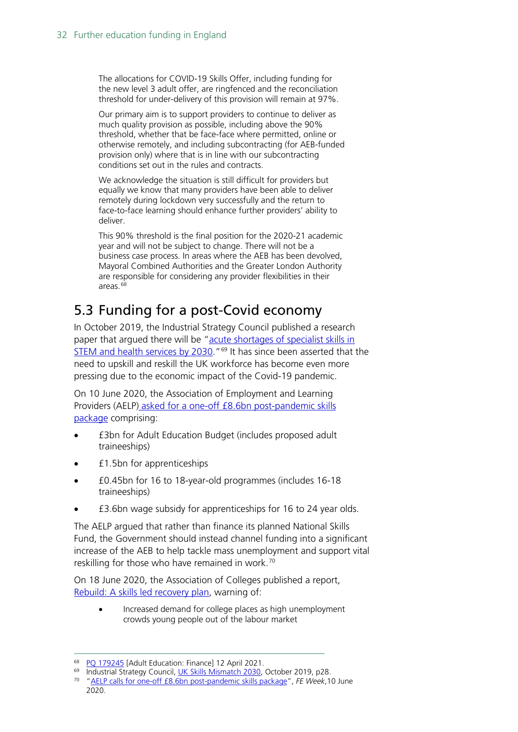The allocations for COVID-19 Skills Offer, including funding for the new level 3 adult offer, are ringfenced and the reconciliation threshold for under-delivery of this provision will remain at 97%.

Our primary aim is to support providers to continue to deliver as much quality provision as possible, including above the 90% threshold, whether that be face-face where permitted, online or otherwise remotely, and including subcontracting (for AEB-funded provision only) where that is in line with our subcontracting conditions set out in the rules and contracts.

We acknowledge the situation is still difficult for providers but equally we know that many providers have been able to deliver remotely during lockdown very successfully and the return to face-to-face learning should enhance further providers' ability to deliver.

This 90% threshold is the final position for the 2020-21 academic year and will not be subject to change. There will not be a business case process. In areas where the AEB has been devolved, Mayoral Combined Authorities and the Greater London Authority are responsible for considering any provider flexibilities in their areas $68$ 

# <span id="page-31-0"></span>5.3 Funding for a post-Covid economy

In October 2019, the Industrial Strategy Council published a research paper that argued there will be ["acute shortages of specialist skills in](https://industrialstrategycouncil.org/uk-skills-mismatch-2030-research-paper)  [STEM and health services by 2030.](https://industrialstrategycouncil.org/uk-skills-mismatch-2030-research-paper)"<sup>[69](#page-31-2)</sup> It has since been asserted that the need to upskill and reskill the UK workforce has become even more pressing due to the economic impact of the Covid-19 pandemic.

On 10 June 2020, the Association of Employment and Learning Providers (AELP) [asked for a one-off £8.6bn post-pandemic skills](https://www.aelp.org.uk/news/news/press-releases/86bn-skills-package-needed-to-boost-the-post-pandemic-economy/)  [package](https://www.aelp.org.uk/news/news/press-releases/86bn-skills-package-needed-to-boost-the-post-pandemic-economy/) comprising:

- £3bn for Adult Education Budget (includes proposed adult traineeships)
- £1.5bn for apprenticeships
- £0.45bn for 16 to 18-year-old programmes (includes 16-18 traineeships)
- £3.6bn wage subsidy for apprenticeships for 16 to 24 year olds.

The AELP argued that rather than finance its planned National Skills Fund, the Government should instead channel funding into a significant increase of the AEB to help tackle mass unemployment and support vital reskilling for those who have remained in work.<sup>[70](#page-31-3)</sup>

On 18 June 2020, the Association of Colleges published a report, [Rebuild: A skills led recovery plan,](https://feweek.co.uk/wp-content/uploads/2020/06/REBUILD-A-skills-led-recovery-plan-full-doc-FINAL.pdf) warning of:

• Increased demand for college places as high unemployment crowds young people out of the labour market

<span id="page-31-1"></span><sup>&</sup>lt;sup>68</sup> [PQ 179245](https://questions-statements.parliament.uk/written-questions/detail/2021-04-12/179245) [Adult Education: Finance] 12 April 2021.

<span id="page-31-2"></span><sup>&</sup>lt;sup>69</sup> Industrial Strategy Council, <u>UK Skills Mismatch 2030</u>, October 2019, p28.

<span id="page-31-3"></span><sup>70</sup> ["AELP calls for one-off £8.6bn post-pandemic skills package"](https://feweek.co.uk/2020/06/10/aelp-calls-for-one-off-8-6bn-post-pandemic-skills-package/), *FE Week*,10 June 2020.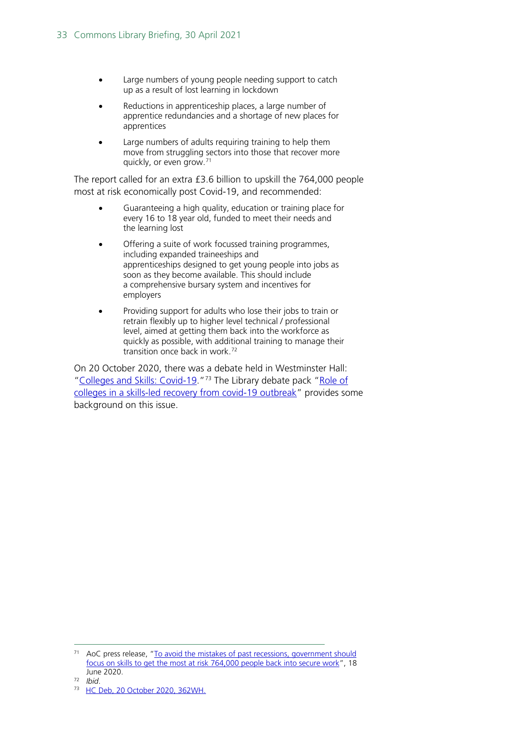- Large numbers of young people needing support to catch up as a result of lost learning in lockdown
- Reductions in apprenticeship places, a large number of apprentice redundancies and a shortage of new places for apprentices
- Large numbers of adults requiring training to help them move from struggling sectors into those that recover more quickly, or even grow. [71](#page-32-0)

The report called for an extra £3.6 billion to upskill the 764,000 people most at risk economically post Covid-19, and recommended:

- Guaranteeing a high quality, education or training place for every 16 to 18 year old, funded to meet their needs and the learning lost
- Offering a suite of work focussed training programmes, including expanded traineeships and apprenticeships designed to get young people into jobs as soon as they become available. This should include a comprehensive bursary system and incentives for employers
- Providing support for adults who lose their jobs to train or retrain flexibly up to higher level technical / professional level, aimed at getting them back into the workforce as quickly as possible, with additional training to manage their transition once back in work.[72](#page-32-1)

On 20 October 2020, there was a debate held in Westminster Hall: ["Colleges and Skills: Covid-19.](https://hansard.parliament.uk/Commons/2020-10-20/debates/46E22CA4-8C56-4109-8E6E-8B20F1587063/CollegesAndSkillsCovid-19#contribution-49416E54-2633-4B1F-99EA-C0F3A86813F5)"<sup>[73](#page-32-2)</sup> The Library debate pack "Role of [colleges in a skills-led recovery from covid-19 outbreak"](https://commonslibrary.parliament.uk/research-briefings/cdp-2020-0108/) provides some background on this issue.

<span id="page-32-0"></span><sup>&</sup>lt;sup>71</sup> AoC press release, "To avoid the mistakes of past recessions, government should [focus on skills to get the most at risk 764,000 people back into secure work"](https://www.aoc.co.uk/news/avoid-the-mistakes-past-recessions-government-should-focus-skills-get-the-most-risk-764000-people), 18 June 2020.

<span id="page-32-1"></span><sup>72</sup> *Ibid*.

<span id="page-32-2"></span><sup>73</sup> [HC Deb, 20 October 2020, 362WH.](https://hansard.parliament.uk/Commons/2020-10-20/debates/46E22CA4-8C56-4109-8E6E-8B20F1587063/CollegesAndSkillsCovid-19#contribution-49416E54-2633-4B1F-99EA-C0F3A86813F5)